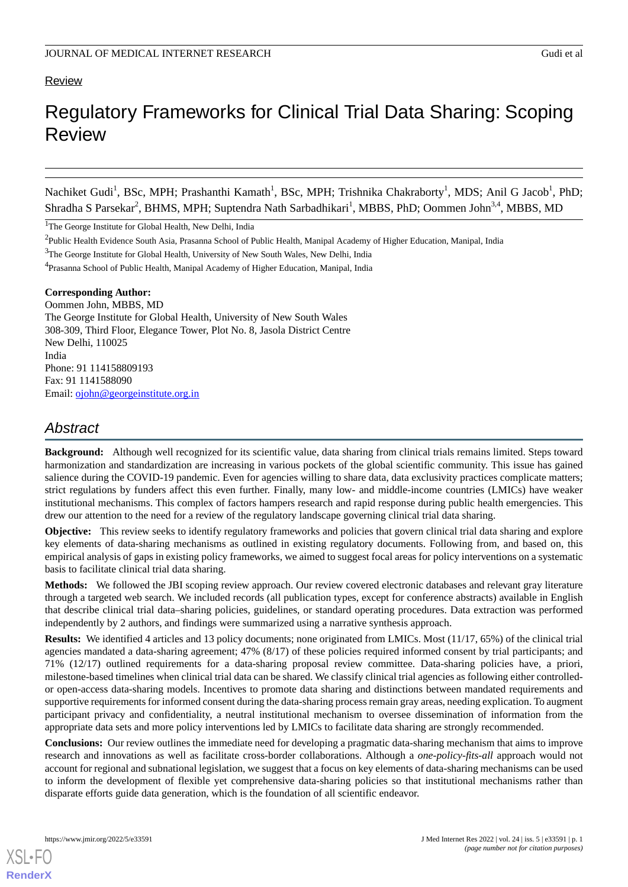# **Review**

# Regulatory Frameworks for Clinical Trial Data Sharing: Scoping Review

Nachiket Gudi<sup>1</sup>, BSc, MPH; Prashanthi Kamath<sup>1</sup>, BSc, MPH; Trishnika Chakraborty<sup>1</sup>, MDS; Anil G Jacob<sup>1</sup>, PhD; Shradha S Parsekar<sup>2</sup>, BHMS, MPH; Suptendra Nath Sarbadhikari<sup>1</sup>, MBBS, PhD; Oommen John<sup>3,4</sup>, MBBS, MD

<sup>1</sup>The George Institute for Global Health, New Delhi, India

<sup>3</sup>The George Institute for Global Health, University of New South Wales, New Delhi, India

**Corresponding Author:**

Oommen John, MBBS, MD The George Institute for Global Health, University of New South Wales 308-309, Third Floor, Elegance Tower, Plot No. 8, Jasola District Centre New Delhi, 110025 India Phone: 91 114158809193 Fax: 91 1141588090 Email: [ojohn@georgeinstitute.org.in](mailto:ojohn@georgeinstitute.org.in)

# *Abstract*

**Background:** Although well recognized for its scientific value, data sharing from clinical trials remains limited. Steps toward harmonization and standardization are increasing in various pockets of the global scientific community. This issue has gained salience during the COVID-19 pandemic. Even for agencies willing to share data, data exclusivity practices complicate matters; strict regulations by funders affect this even further. Finally, many low- and middle-income countries (LMICs) have weaker institutional mechanisms. This complex of factors hampers research and rapid response during public health emergencies. This drew our attention to the need for a review of the regulatory landscape governing clinical trial data sharing.

**Objective:** This review seeks to identify regulatory frameworks and policies that govern clinical trial data sharing and explore key elements of data-sharing mechanisms as outlined in existing regulatory documents. Following from, and based on, this empirical analysis of gaps in existing policy frameworks, we aimed to suggest focal areas for policy interventions on a systematic basis to facilitate clinical trial data sharing.

**Methods:** We followed the JBI scoping review approach. Our review covered electronic databases and relevant gray literature through a targeted web search. We included records (all publication types, except for conference abstracts) available in English that describe clinical trial data–sharing policies, guidelines, or standard operating procedures. Data extraction was performed independently by 2 authors, and findings were summarized using a narrative synthesis approach.

**Results:** We identified 4 articles and 13 policy documents; none originated from LMICs. Most (11/17, 65%) of the clinical trial agencies mandated a data-sharing agreement; 47% (8/17) of these policies required informed consent by trial participants; and 71% (12/17) outlined requirements for a data-sharing proposal review committee. Data-sharing policies have, a priori, milestone-based timelines when clinical trial data can be shared. We classify clinical trial agencies as following either controlledor open-access data-sharing models. Incentives to promote data sharing and distinctions between mandated requirements and supportive requirements for informed consent during the data-sharing process remain gray areas, needing explication. To augment participant privacy and confidentiality, a neutral institutional mechanism to oversee dissemination of information from the appropriate data sets and more policy interventions led by LMICs to facilitate data sharing are strongly recommended.

**Conclusions:** Our review outlines the immediate need for developing a pragmatic data-sharing mechanism that aims to improve research and innovations as well as facilitate cross-border collaborations. Although a *one-policy-fits-all* approach would not account for regional and subnational legislation, we suggest that a focus on key elements of data-sharing mechanisms can be used to inform the development of flexible yet comprehensive data-sharing policies so that institutional mechanisms rather than disparate efforts guide data generation, which is the foundation of all scientific endeavor.

<sup>&</sup>lt;sup>2</sup>Public Health Evidence South Asia, Prasanna School of Public Health, Manipal Academy of Higher Education, Manipal, India

<sup>&</sup>lt;sup>4</sup>Prasanna School of Public Health, Manipal Academy of Higher Education, Manipal, India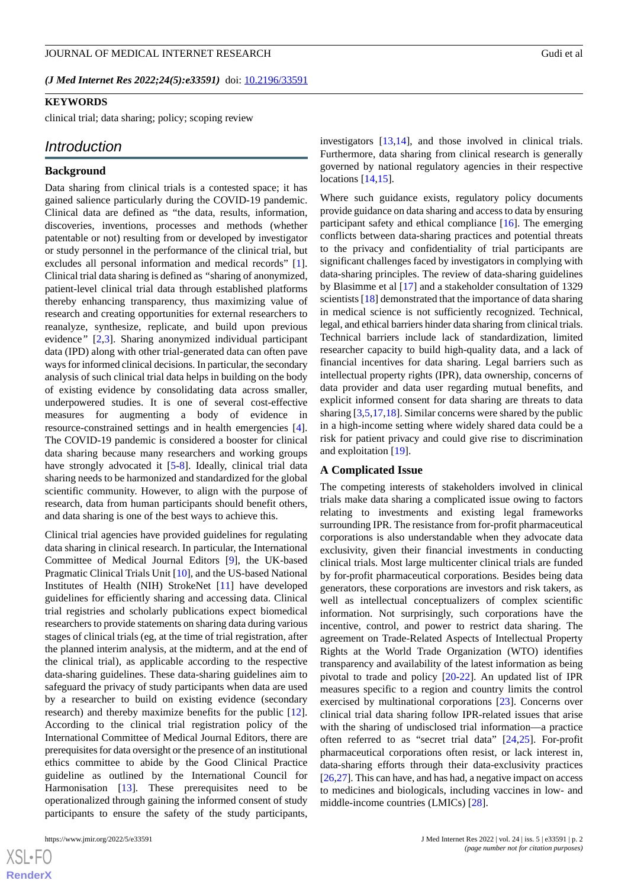*(J Med Internet Res 2022;24(5):e33591)* doi: **[10.2196/33591](http://dx.doi.org/10.2196/33591)** 

#### **KEYWORDS**

clinical trial; data sharing; policy; scoping review

# *Introduction*

#### **Background**

Data sharing from clinical trials is a contested space; it has gained salience particularly during the COVID-19 pandemic. Clinical data are defined as "the data, results, information, discoveries, inventions, processes and methods (whether patentable or not) resulting from or developed by investigator or study personnel in the performance of the clinical trial, but excludes all personal information and medical records" [[1\]](#page-11-0). Clinical trial data sharing is defined as *"*sharing of anonymized, patient-level clinical trial data through established platforms thereby enhancing transparency, thus maximizing value of research and creating opportunities for external researchers to reanalyze, synthesize, replicate, and build upon previous evidence*"* [\[2](#page-11-1),[3\]](#page-11-2). Sharing anonymized individual participant data (IPD) along with other trial-generated data can often pave ways for informed clinical decisions. In particular, the secondary analysis of such clinical trial data helps in building on the body of existing evidence by consolidating data across smaller, underpowered studies. It is one of several cost-effective measures for augmenting a body of evidence in resource-constrained settings and in health emergencies [[4\]](#page-11-3). The COVID-19 pandemic is considered a booster for clinical data sharing because many researchers and working groups have strongly advocated it [[5](#page-11-4)[-8](#page-11-5)]. Ideally, clinical trial data sharing needs to be harmonized and standardized for the global scientific community. However, to align with the purpose of research, data from human participants should benefit others, and data sharing is one of the best ways to achieve this.

Clinical trial agencies have provided guidelines for regulating data sharing in clinical research. In particular, the International Committee of Medical Journal Editors [\[9](#page-11-6)], the UK-based Pragmatic Clinical Trials Unit [\[10](#page-11-7)], and the US-based National Institutes of Health (NIH) StrokeNet [[11\]](#page-12-0) have developed guidelines for efficiently sharing and accessing data. Clinical trial registries and scholarly publications expect biomedical researchers to provide statements on sharing data during various stages of clinical trials (eg, at the time of trial registration, after the planned interim analysis, at the midterm, and at the end of the clinical trial), as applicable according to the respective data-sharing guidelines. These data-sharing guidelines aim to safeguard the privacy of study participants when data are used by a researcher to build on existing evidence (secondary research) and thereby maximize benefits for the public [[12\]](#page-12-1). According to the clinical trial registration policy of the International Committee of Medical Journal Editors, there are prerequisites for data oversight or the presence of an institutional ethics committee to abide by the Good Clinical Practice guideline as outlined by the International Council for Harmonisation [\[13](#page-12-2)]. These prerequisites need to be operationalized through gaining the informed consent of study participants to ensure the safety of the study participants,

 $XSI - F($ **[RenderX](http://www.renderx.com/)** investigators [[13](#page-12-2)[,14](#page-12-3)], and those involved in clinical trials. Furthermore, data sharing from clinical research is generally governed by national regulatory agencies in their respective locations [[14,](#page-12-3)[15](#page-12-4)].

Where such guidance exists, regulatory policy documents provide guidance on data sharing and access to data by ensuring participant safety and ethical compliance [\[16](#page-12-5)]. The emerging conflicts between data-sharing practices and potential threats to the privacy and confidentiality of trial participants are significant challenges faced by investigators in complying with data-sharing principles. The review of data-sharing guidelines by Blasimme et al [\[17](#page-12-6)] and a stakeholder consultation of 1329 scientists [[18\]](#page-12-7) demonstrated that the importance of data sharing in medical science is not sufficiently recognized. Technical, legal, and ethical barriers hinder data sharing from clinical trials. Technical barriers include lack of standardization, limited researcher capacity to build high-quality data, and a lack of financial incentives for data sharing. Legal barriers such as intellectual property rights (IPR), data ownership, concerns of data provider and data user regarding mutual benefits, and explicit informed consent for data sharing are threats to data sharing [\[3](#page-11-2),[5](#page-11-4)[,17](#page-12-6),[18\]](#page-12-7). Similar concerns were shared by the public in a high-income setting where widely shared data could be a risk for patient privacy and could give rise to discrimination and exploitation [\[19](#page-12-8)].

#### **A Complicated Issue**

The competing interests of stakeholders involved in clinical trials make data sharing a complicated issue owing to factors relating to investments and existing legal frameworks surrounding IPR. The resistance from for-profit pharmaceutical corporations is also understandable when they advocate data exclusivity, given their financial investments in conducting clinical trials. Most large multicenter clinical trials are funded by for-profit pharmaceutical corporations. Besides being data generators, these corporations are investors and risk takers, as well as intellectual conceptualizers of complex scientific information. Not surprisingly, such corporations have the incentive, control, and power to restrict data sharing. The agreement on Trade-Related Aspects of Intellectual Property Rights at the World Trade Organization (WTO) identifies transparency and availability of the latest information as being pivotal to trade and policy [\[20](#page-12-9)-[22\]](#page-12-10). An updated list of IPR measures specific to a region and country limits the control exercised by multinational corporations [[23\]](#page-12-11). Concerns over clinical trial data sharing follow IPR-related issues that arise with the sharing of undisclosed trial information—a practice often referred to as "secret trial data" [[24](#page-12-12)[,25](#page-12-13)]. For-profit pharmaceutical corporations often resist, or lack interest in, data-sharing efforts through their data-exclusivity practices [[26](#page-12-14)[,27](#page-12-15)]. This can have, and has had, a negative impact on access to medicines and biologicals, including vaccines in low- and middle-income countries (LMICs) [\[28](#page-12-16)].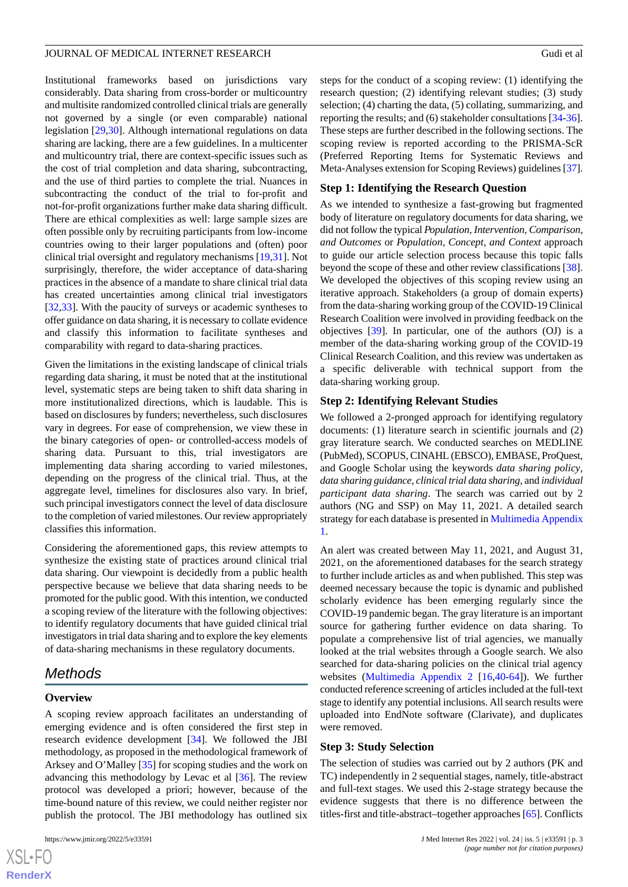Institutional frameworks based on jurisdictions vary considerably. Data sharing from cross-border or multicountry and multisite randomized controlled clinical trials are generally not governed by a single (or even comparable) national legislation [\[29](#page-12-17),[30\]](#page-12-18). Although international regulations on data sharing are lacking, there are a few guidelines. In a multicenter and multicountry trial, there are context-specific issues such as the cost of trial completion and data sharing, subcontracting, and the use of third parties to complete the trial. Nuances in subcontracting the conduct of the trial to for-profit and not-for-profit organizations further make data sharing difficult. There are ethical complexities as well: large sample sizes are often possible only by recruiting participants from low-income countries owing to their larger populations and (often) poor clinical trial oversight and regulatory mechanisms [\[19](#page-12-8),[31\]](#page-12-19). Not surprisingly, therefore, the wider acceptance of data-sharing practices in the absence of a mandate to share clinical trial data has created uncertainties among clinical trial investigators [[32](#page-12-20)[,33](#page-12-21)]. With the paucity of surveys or academic syntheses to offer guidance on data sharing, it is necessary to collate evidence and classify this information to facilitate syntheses and comparability with regard to data-sharing practices.

Given the limitations in the existing landscape of clinical trials regarding data sharing, it must be noted that at the institutional level, systematic steps are being taken to shift data sharing in more institutionalized directions, which is laudable. This is based on disclosures by funders; nevertheless, such disclosures vary in degrees. For ease of comprehension, we view these in the binary categories of open- or controlled-access models of sharing data. Pursuant to this, trial investigators are implementing data sharing according to varied milestones, depending on the progress of the clinical trial. Thus, at the aggregate level, timelines for disclosures also vary. In brief, such principal investigators connect the level of data disclosure to the completion of varied milestones. Our review appropriately classifies this information.

Considering the aforementioned gaps, this review attempts to synthesize the existing state of practices around clinical trial data sharing. Our viewpoint is decidedly from a public health perspective because we believe that data sharing needs to be promoted for the public good. With this intention, we conducted a scoping review of the literature with the following objectives: to identify regulatory documents that have guided clinical trial investigators in trial data sharing and to explore the key elements of data-sharing mechanisms in these regulatory documents.

# *Methods*

#### **Overview**

 $XS$ -FO **[RenderX](http://www.renderx.com/)**

A scoping review approach facilitates an understanding of emerging evidence and is often considered the first step in research evidence development [[34\]](#page-12-22). We followed the JBI methodology, as proposed in the methodological framework of Arksey and O'Malley [[35\]](#page-12-23) for scoping studies and the work on advancing this methodology by Levac et al [[36\]](#page-13-0). The review protocol was developed a priori; however, because of the time-bound nature of this review, we could neither register nor publish the protocol. The JBI methodology has outlined six

steps for the conduct of a scoping review: (1) identifying the research question; (2) identifying relevant studies; (3) study selection; (4) charting the data, (5) collating, summarizing, and reporting the results; and (6) stakeholder consultations [[34-](#page-12-22)[36\]](#page-13-0). These steps are further described in the following sections. The scoping review is reported according to the PRISMA-ScR (Preferred Reporting Items for Systematic Reviews and Meta-Analyses extension for Scoping Reviews) guidelines [\[37](#page-13-1)].

#### **Step 1: Identifying the Research Question**

As we intended to synthesize a fast-growing but fragmented body of literature on regulatory documents for data sharing, we did not follow the typical *Population, Intervention, Comparison, and Outcomes* or *Population, Concept, and Context* approach to guide our article selection process because this topic falls beyond the scope of these and other review classifications [[38\]](#page-13-2). We developed the objectives of this scoping review using an iterative approach. Stakeholders (a group of domain experts) from the data-sharing working group of the COVID-19 Clinical Research Coalition were involved in providing feedback on the objectives [[39\]](#page-13-3). In particular, one of the authors (OJ) is a member of the data-sharing working group of the COVID-19 Clinical Research Coalition, and this review was undertaken as a specific deliverable with technical support from the data-sharing working group.

#### **Step 2: Identifying Relevant Studies**

We followed a 2-pronged approach for identifying regulatory documents: (1) literature search in scientific journals and (2) gray literature search. We conducted searches on MEDLINE (PubMed), SCOPUS, CINAHL (EBSCO), EMBASE, ProQuest, and Google Scholar using the keywords *data sharing policy*, *data sharing guidance*, *clinical trial data sharing*, and *individual participant data sharing*. The search was carried out by 2 authors (NG and SSP) on May 11, 2021. A detailed search strategy for each database is presented in [Multimedia Appendix](#page-11-8) [1.](#page-11-8)

An alert was created between May 11, 2021, and August 31, 2021, on the aforementioned databases for the search strategy to further include articles as and when published. This step was deemed necessary because the topic is dynamic and published scholarly evidence has been emerging regularly since the COVID-19 pandemic began. The gray literature is an important source for gathering further evidence on data sharing. To populate a comprehensive list of trial agencies, we manually looked at the trial websites through a Google search. We also searched for data-sharing policies on the clinical trial agency websites ([Multimedia Appendix 2](#page-11-9) [[16](#page-12-5)[,40](#page-13-4)-[64\]](#page-13-5)). We further conducted reference screening of articles included at the full-text stage to identify any potential inclusions. All search results were uploaded into EndNote software (Clarivate), and duplicates were removed.

#### **Step 3: Study Selection**

The selection of studies was carried out by 2 authors (PK and TC) independently in 2 sequential stages, namely, title-abstract and full-text stages. We used this 2-stage strategy because the evidence suggests that there is no difference between the titles-first and title-abstract–together approaches [[65\]](#page-14-0). Conflicts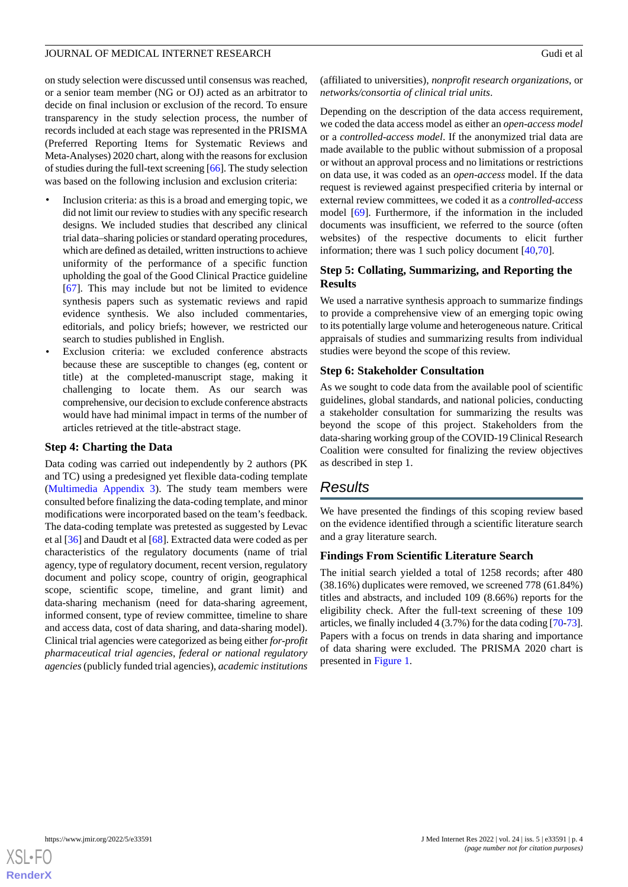on study selection were discussed until consensus was reached, or a senior team member (NG or OJ) acted as an arbitrator to decide on final inclusion or exclusion of the record. To ensure transparency in the study selection process, the number of records included at each stage was represented in the PRISMA (Preferred Reporting Items for Systematic Reviews and Meta-Analyses) 2020 chart, along with the reasons for exclusion of studies during the full-text screening [\[66\]](#page-14-1). The study selection was based on the following inclusion and exclusion criteria:

- Inclusion criteria: as this is a broad and emerging topic, we did not limit our review to studies with any specific research designs. We included studies that described any clinical trial data–sharing policies or standard operating procedures, which are defined as detailed, written instructions to achieve uniformity of the performance of a specific function upholding the goal of the Good Clinical Practice guideline [[67\]](#page-14-2). This may include but not be limited to evidence synthesis papers such as systematic reviews and rapid evidence synthesis. We also included commentaries, editorials, and policy briefs; however, we restricted our search to studies published in English.
- Exclusion criteria: we excluded conference abstracts because these are susceptible to changes (eg, content or title) at the completed-manuscript stage, making it challenging to locate them. As our search was comprehensive, our decision to exclude conference abstracts would have had minimal impact in terms of the number of articles retrieved at the title-abstract stage.

#### **Step 4: Charting the Data**

Data coding was carried out independently by 2 authors (PK and TC) using a predesigned yet flexible data-coding template ([Multimedia Appendix 3](#page-11-10)). The study team members were consulted before finalizing the data-coding template, and minor modifications were incorporated based on the team's feedback. The data-coding template was pretested as suggested by Levac et al [\[36](#page-13-0)] and Daudt et al [\[68](#page-14-3)]. Extracted data were coded as per characteristics of the regulatory documents (name of trial agency, type of regulatory document, recent version, regulatory document and policy scope, country of origin, geographical scope, scientific scope, timeline, and grant limit) and data-sharing mechanism (need for data-sharing agreement, informed consent, type of review committee, timeline to share and access data, cost of data sharing, and data-sharing model). Clinical trial agencies were categorized as being either *for-profit pharmaceutical trial agencies*, *federal or national regulatory agencies*(publicly funded trial agencies), *academic institutions*

(affiliated to universities), *nonprofit research organizations*, or *networks/consortia of clinical trial units*.

Depending on the description of the data access requirement, we coded the data access model as either an *open-access model* or a *controlled-access model*. If the anonymized trial data are made available to the public without submission of a proposal or without an approval process and no limitations or restrictions on data use, it was coded as an *open-access* model. If the data request is reviewed against prespecified criteria by internal or external review committees, we coded it as a *controlled-access* model [\[69](#page-14-4)]. Furthermore, if the information in the included documents was insufficient, we referred to the source (often websites) of the respective documents to elicit further information; there was 1 such policy document [[40,](#page-13-4)[70](#page-14-5)].

# **Step 5: Collating, Summarizing, and Reporting the Results**

We used a narrative synthesis approach to summarize findings to provide a comprehensive view of an emerging topic owing to its potentially large volume and heterogeneous nature. Critical appraisals of studies and summarizing results from individual studies were beyond the scope of this review.

### **Step 6: Stakeholder Consultation**

As we sought to code data from the available pool of scientific guidelines, global standards, and national policies, conducting a stakeholder consultation for summarizing the results was beyond the scope of this project. Stakeholders from the data-sharing working group of the COVID-19 Clinical Research Coalition were consulted for finalizing the review objectives as described in step 1.

# *Results*

We have presented the findings of this scoping review based on the evidence identified through a scientific literature search and a gray literature search.

# **Findings From Scientific Literature Search**

The initial search yielded a total of 1258 records; after 480 (38.16%) duplicates were removed, we screened 778 (61.84%) titles and abstracts, and included 109 (8.66%) reports for the eligibility check. After the full-text screening of these 109 articles, we finally included 4 (3.7%) for the data coding [\[70](#page-14-5)[-73](#page-14-6)]. Papers with a focus on trends in data sharing and importance of data sharing were excluded. The PRISMA 2020 chart is presented in [Figure 1](#page-4-0).

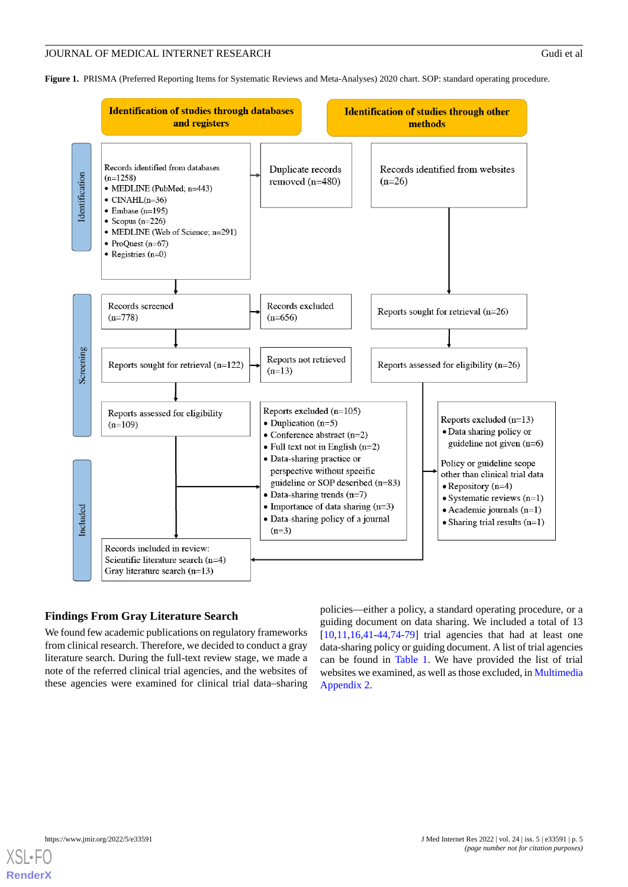<span id="page-4-0"></span>**Figure 1.** PRISMA (Preferred Reporting Items for Systematic Reviews and Meta-Analyses) 2020 chart. SOP: standard operating procedure.



# **Findings From Gray Literature Search**

We found few academic publications on regulatory frameworks from clinical research. Therefore, we decided to conduct a gray literature search. During the full-text review stage, we made a note of the referred clinical trial agencies, and the websites of these agencies were examined for clinical trial data–sharing

policies—either a policy, a standard operating procedure, or a guiding document on data sharing. We included a total of 13  $[10,11,16,41-44,74-79]$  $[10,11,16,41-44,74-79]$  $[10,11,16,41-44,74-79]$  $[10,11,16,41-44,74-79]$  $[10,11,16,41-44,74-79]$  $[10,11,16,41-44,74-79]$  $[10,11,16,41-44,74-79]$  $[10,11,16,41-44,74-79]$  $[10,11,16,41-44,74-79]$  $[10,11,16,41-44,74-79]$  trial agencies that had at least one data-sharing policy or guiding document. A list of trial agencies can be found in [Table 1.](#page-5-0) We have provided the list of trial websites we examined, as well as those excluded, in [Multimedia](#page-11-9) [Appendix 2.](#page-11-9)

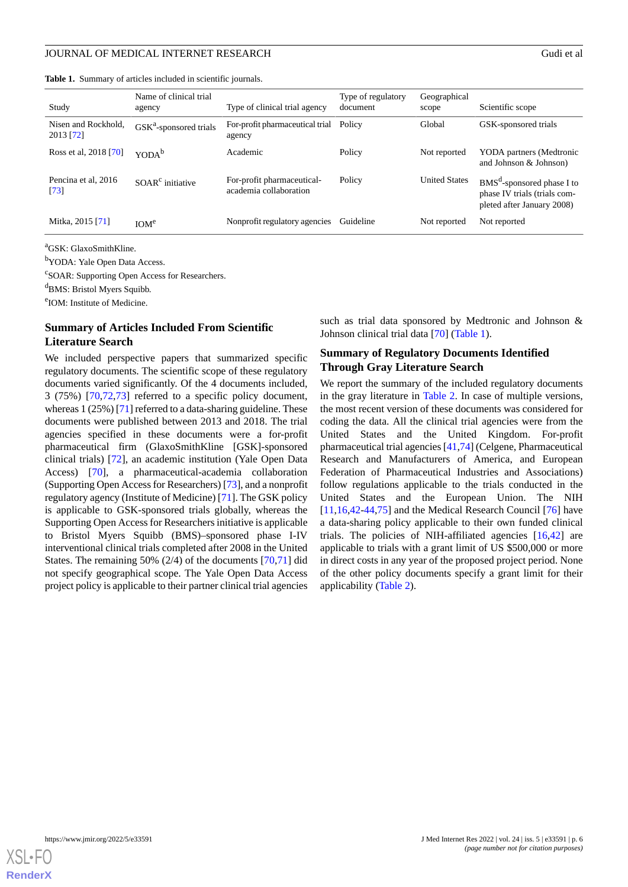<span id="page-5-0"></span>

|  | <b>Table 1.</b> Summary of articles included in scientific journals. |  |  |  |  |  |  |
|--|----------------------------------------------------------------------|--|--|--|--|--|--|
|--|----------------------------------------------------------------------|--|--|--|--|--|--|

| Study                            | Name of clinical trial<br>agency | Type of clinical trial agency                        | Type of regulatory<br>document | Geographical<br>scope | Scientific scope                                                                                     |
|----------------------------------|----------------------------------|------------------------------------------------------|--------------------------------|-----------------------|------------------------------------------------------------------------------------------------------|
| Nisen and Rockhold.<br>2013 [72] | $GSKa$ -sponsored trials         | For-profit pharmaceutical trial<br>agency            | Policy                         | Global                | GSK-sponsored trials                                                                                 |
| Ross et al, 2018 [70]            | YODA <sup>b</sup>                | Academic                                             | Policy                         | Not reported          | YODA partners (Medtronic<br>and Johnson & Johnson)                                                   |
| Pencina et al, 2016<br>$[73]$    | $SOARc$ initiative               | For-profit pharmaceutical-<br>academia collaboration | Policy                         | <b>United States</b>  | BMS <sup>d</sup> -sponsored phase I to<br>phase IV trials (trials com-<br>pleted after January 2008) |
| Mitka, 2015 [71]                 | IOM <sup>e</sup>                 | Nonprofit regulatory agencies                        | Guideline                      | Not reported          | Not reported                                                                                         |

<sup>a</sup>GSK: GlaxoSmithKline.

<sup>b</sup>YODA: Yale Open Data Access.

<sup>c</sup>SOAR: Supporting Open Access for Researchers.

<sup>d</sup>BMS: Bristol Myers Squibb.

e IOM: Institute of Medicine.

# **Summary of Articles Included From Scientific Literature Search**

We included perspective papers that summarized specific regulatory documents. The scientific scope of these regulatory documents varied significantly. Of the 4 documents included, 3 (75%) [[70](#page-14-5)[,72](#page-14-9),[73\]](#page-14-6) referred to a specific policy document, whereas 1 (25%) [\[71](#page-14-10)] referred to a data-sharing guideline. These documents were published between 2013 and 2018. The trial agencies specified in these documents were a for-profit pharmaceutical firm (GlaxoSmithKline [GSK]-sponsored clinical trials) [[72\]](#page-14-9), an academic institution (Yale Open Data Access) [\[70](#page-14-5)], a pharmaceutical-academia collaboration (Supporting Open Access for Researchers) [[73\]](#page-14-6), and a nonprofit regulatory agency (Institute of Medicine) [[71\]](#page-14-10). The GSK policy is applicable to GSK-sponsored trials globally, whereas the Supporting Open Access for Researchers initiative is applicable to Bristol Myers Squibb (BMS)–sponsored phase I-IV interventional clinical trials completed after 2008 in the United States. The remaining 50% (2/4) of the documents [\[70](#page-14-5),[71\]](#page-14-10) did not specify geographical scope. The Yale Open Data Access project policy is applicable to their partner clinical trial agencies

such as trial data sponsored by Medtronic and Johnson & Johnson clinical trial data [[70\]](#page-14-5) [\(Table 1\)](#page-5-0).

# **Summary of Regulatory Documents Identified Through Gray Literature Search**

We report the summary of the included regulatory documents in the gray literature in [Table 2](#page-6-0). In case of multiple versions, the most recent version of these documents was considered for coding the data. All the clinical trial agencies were from the United States and the United Kingdom. For-profit pharmaceutical trial agencies [[41,](#page-13-6)[74\]](#page-14-7) (Celgene, Pharmaceutical Research and Manufacturers of America, and European Federation of Pharmaceutical Industries and Associations) follow regulations applicable to the trials conducted in the United States and the European Union. The NIH [[11,](#page-12-0)[16,](#page-12-5)[42](#page-13-8)[-44](#page-13-7),[75\]](#page-14-11) and the Medical Research Council [\[76](#page-14-12)] have a data-sharing policy applicable to their own funded clinical trials. The policies of NIH-affiliated agencies [\[16](#page-12-5),[42\]](#page-13-8) are applicable to trials with a grant limit of US \$500,000 or more in direct costs in any year of the proposed project period. None of the other policy documents specify a grant limit for their applicability ([Table 2\)](#page-6-0).

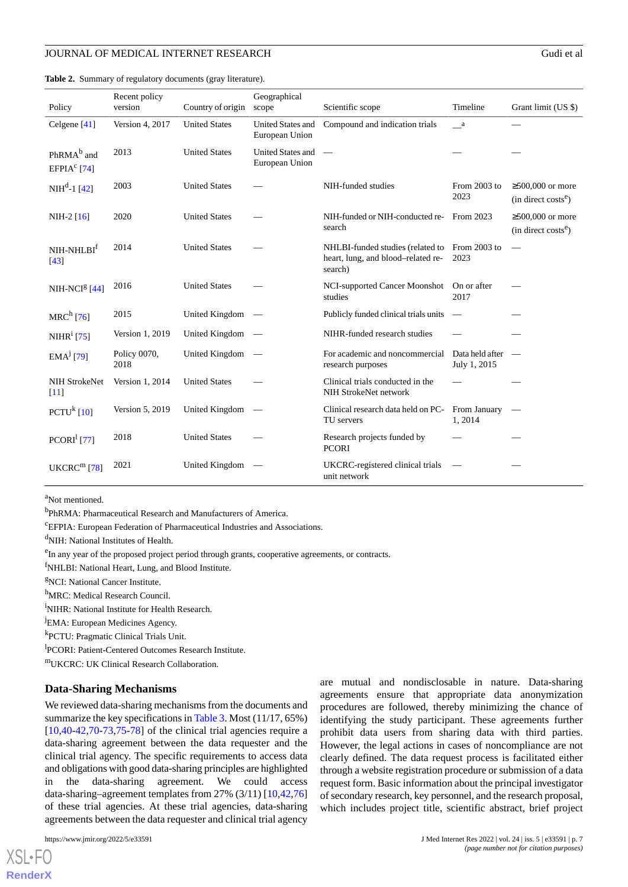| Policy                                            | Recent policy<br>version | Country of origin    | Geographical<br>scope                      | Scientific scope                                                                  | Timeline                        | Grant limit (US \$)                                       |
|---------------------------------------------------|--------------------------|----------------------|--------------------------------------------|-----------------------------------------------------------------------------------|---------------------------------|-----------------------------------------------------------|
| Celgene $[41]$                                    | Version 4, 2017          | <b>United States</b> | United States and<br>European Union        | Compound and indication trials                                                    | a a                             |                                                           |
| PhRMA <sup>b</sup> and<br>EFPIA <sup>c</sup> [74] | 2013                     | <b>United States</b> | <b>United States and</b><br>European Union |                                                                                   |                                 |                                                           |
| $NIHd-1$ [42]                                     | 2003                     | <b>United States</b> |                                            | NIH-funded studies                                                                | From 2003 to<br>2023            | $\geq$ 500,000 or more<br>(in direct costs <sup>e</sup> ) |
| $NIH-2 [16]$                                      | 2020                     | <b>United States</b> |                                            | NIH-funded or NIH-conducted re-<br>search                                         | From 2023                       | $\geq 500,000$ or more<br>(in direct costs <sup>e</sup> ) |
| NIH-NHLBI <sup>f</sup><br>[43]                    | 2014                     | <b>United States</b> |                                            | NHLBI-funded studies (related to<br>heart, lung, and blood-related re-<br>search) | From 2003 to<br>2023            | $\overbrace{\phantom{12332}}$                             |
| $NIH-NCIg$ [44]                                   | 2016                     | <b>United States</b> |                                            | NCI-supported Cancer Moonshot<br>studies                                          | On or after<br>2017             |                                                           |
| $MRCh$ [76]                                       | 2015                     | United Kingdom       |                                            | Publicly funded clinical trials units                                             |                                 |                                                           |
| NIHR <sup>i</sup> [75]                            | Version 1, 2019          | United Kingdom       |                                            | NIHR-funded research studies                                                      |                                 |                                                           |
| $EMAj$ [79]                                       | Policy 0070,<br>2018     | United Kingdom       |                                            | For academic and noncommercial<br>research purposes                               | Data held after<br>July 1, 2015 |                                                           |
| <b>NIH StrokeNet</b><br>$[11]$                    | Version 1, 2014          | <b>United States</b> |                                            | Clinical trials conducted in the<br>NIH StrokeNet network                         |                                 |                                                           |
| $PCTUk$ [10]                                      | Version 5, 2019          | United Kingdom       |                                            | Clinical research data held on PC-<br>TU servers                                  | From January<br>1, 2014         |                                                           |
| PCORI <sup>1</sup> [77]                           | 2018                     | <b>United States</b> |                                            | Research projects funded by<br><b>PCORI</b>                                       |                                 |                                                           |
| UKERC <sup>m</sup> [78]                           | 2021                     | United Kingdom       |                                            | UKCRC-registered clinical trials<br>unit network                                  |                                 |                                                           |

<span id="page-6-0"></span>**Table 2.** Summary of regulatory documents (gray literature).

<sup>a</sup>Not mentioned.

<sup>b</sup>PhRMA: Pharmaceutical Research and Manufacturers of America.

<sup>c</sup>EFPIA: European Federation of Pharmaceutical Industries and Associations.

<sup>d</sup>NIH: National Institutes of Health.

<sup>e</sup>In any year of the proposed project period through grants, cooperative agreements, or contracts.

<sup>f</sup>NHLBI: National Heart, Lung, and Blood Institute.

<sup>g</sup>NCI: National Cancer Institute.

h<sub>MRC</sub>: Medical Research Council.

<sup>i</sup>NIHR: National Institute for Health Research.

<sup>J</sup>EMA: European Medicines Agency.

k PCTU: Pragmatic Clinical Trials Unit.

<sup>1</sup>PCORI: Patient-Centered Outcomes Research Institute.

<sup>m</sup>UKCRC: UK Clinical Research Collaboration.

#### **Data-Sharing Mechanisms**

We reviewed data-sharing mechanisms from the documents and summarize the key specifications in [Table 3.](#page-8-0) Most (11/17, 65%) [[10](#page-11-7)[,40](#page-13-4)-[42,](#page-13-8)[70](#page-14-5)-[73,](#page-14-6)[75](#page-14-11)[-78](#page-14-14)] of the clinical trial agencies require a data-sharing agreement between the data requester and the clinical trial agency. The specific requirements to access data and obligations with good data-sharing principles are highlighted in the data-sharing agreement. We could access data-sharing–agreement templates from 27% (3/11) [\[10](#page-11-7),[42](#page-13-8)[,76](#page-14-12)] of these trial agencies. At these trial agencies, data-sharing agreements between the data requester and clinical trial agency

[XSL](http://www.w3.org/Style/XSL)•FO **[RenderX](http://www.renderx.com/)** are mutual and nondisclosable in nature. Data-sharing agreements ensure that appropriate data anonymization procedures are followed, thereby minimizing the chance of identifying the study participant. These agreements further prohibit data users from sharing data with third parties. However, the legal actions in cases of noncompliance are not clearly defined. The data request process is facilitated either through a website registration procedure or submission of a data request form. Basic information about the principal investigator of secondary research, key personnel, and the research proposal, which includes project title, scientific abstract, brief project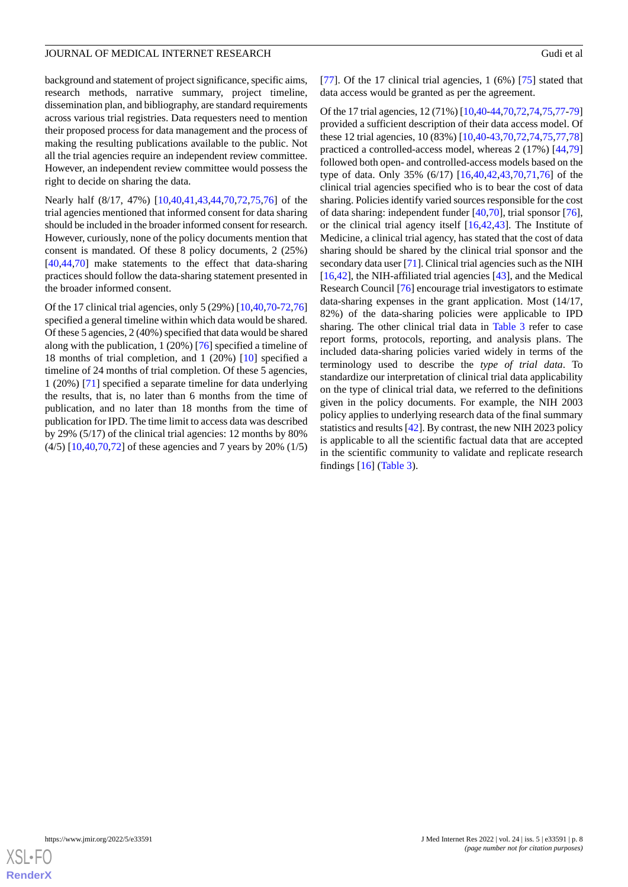background and statement of project significance, specific aims, research methods, narrative summary, project timeline, dissemination plan, and bibliography, are standard requirements across various trial registries. Data requesters need to mention their proposed process for data management and the process of making the resulting publications available to the public. Not all the trial agencies require an independent review committee. However, an independent review committee would possess the right to decide on sharing the data.

Nearly half (8/17, 47%) [[10](#page-11-7)[,40](#page-13-4),[41](#page-13-6)[,43](#page-13-9),[44](#page-13-7)[,70](#page-14-5),[72](#page-14-9)[,75](#page-14-11),[76\]](#page-14-12) of the trial agencies mentioned that informed consent for data sharing should be included in the broader informed consent for research. However, curiously, none of the policy documents mention that consent is mandated. Of these 8 policy documents, 2 (25%) [[40](#page-13-4)[,44](#page-13-7),[70\]](#page-14-5) make statements to the effect that data-sharing practices should follow the data-sharing statement presented in the broader informed consent.

Of the 17 clinical trial agencies, only 5 (29%) [[10,](#page-11-7)[40](#page-13-4)[,70](#page-14-5)-[72](#page-14-9)[,76](#page-14-12)] specified a general timeline within which data would be shared. Of these 5 agencies, 2 (40%) specified that data would be shared along with the publication, 1 (20%) [\[76](#page-14-12)] specified a timeline of 18 months of trial completion, and 1 (20%) [[10\]](#page-11-7) specified a timeline of 24 months of trial completion. Of these 5 agencies, 1 (20%) [\[71](#page-14-10)] specified a separate timeline for data underlying the results, that is, no later than 6 months from the time of publication, and no later than 18 months from the time of publication for IPD. The time limit to access data was described by 29% (5/17) of the clinical trial agencies: 12 months by 80% (4/5) [[10,](#page-11-7)[40](#page-13-4),[70,](#page-14-5)[72](#page-14-9)] of these agencies and 7 years by 20% (1/5)

[[77\]](#page-14-13). Of the 17 clinical trial agencies,  $1(6%)$  [[75\]](#page-14-11) stated that data access would be granted as per the agreement.

Of the 17 trial agencies, 12 (71%) [[10](#page-11-7),[40-](#page-13-4)[44](#page-13-7)[,70](#page-14-5),[72](#page-14-9),[74,](#page-14-7)[75](#page-14-11)[,77](#page-14-13)-[79](#page-14-8)] provided a sufficient description of their data access model. Of these 12 trial agencies, 10 (83%) [[10,](#page-11-7)[40](#page-13-4)[-43](#page-13-9),[70](#page-14-5)[,72](#page-14-9),[74](#page-14-7)[,75](#page-14-11),[77](#page-14-13)[,78](#page-14-14)] practiced a controlled-access model, whereas 2 (17%) [[44](#page-13-7)[,79](#page-14-8)] followed both open- and controlled-access models based on the type of data. Only 35% (6/17) [\[16](#page-12-5)[,40](#page-13-4),[42,](#page-13-8)[43](#page-13-9)[,70](#page-14-5)[,71](#page-14-10),[76\]](#page-14-12) of the clinical trial agencies specified who is to bear the cost of data sharing. Policies identify varied sources responsible for the cost of data sharing: independent funder [[40,](#page-13-4)[70\]](#page-14-5), trial sponsor [[76\]](#page-14-12), or the clinical trial agency itself [[16](#page-12-5)[,42](#page-13-8),[43\]](#page-13-9). The Institute of Medicine, a clinical trial agency, has stated that the cost of data sharing should be shared by the clinical trial sponsor and the secondary data user [[71\]](#page-14-10). Clinical trial agencies such as the NIH [[16,](#page-12-5)[42\]](#page-13-8), the NIH-affiliated trial agencies [\[43](#page-13-9)], and the Medical Research Council [[76\]](#page-14-12) encourage trial investigators to estimate data-sharing expenses in the grant application. Most (14/17, 82%) of the data-sharing policies were applicable to IPD sharing. The other clinical trial data in [Table 3](#page-8-0) refer to case report forms, protocols, reporting, and analysis plans. The included data-sharing policies varied widely in terms of the terminology used to describe the *type of trial data*. To standardize our interpretation of clinical trial data applicability on the type of clinical trial data, we referred to the definitions given in the policy documents. For example, the NIH 2003 policy applies to underlying research data of the final summary statistics and results [\[42](#page-13-8)]. By contrast, the new NIH 2023 policy is applicable to all the scientific factual data that are accepted in the scientific community to validate and replicate research findings [\[16](#page-12-5)] [\(Table 3\)](#page-8-0).

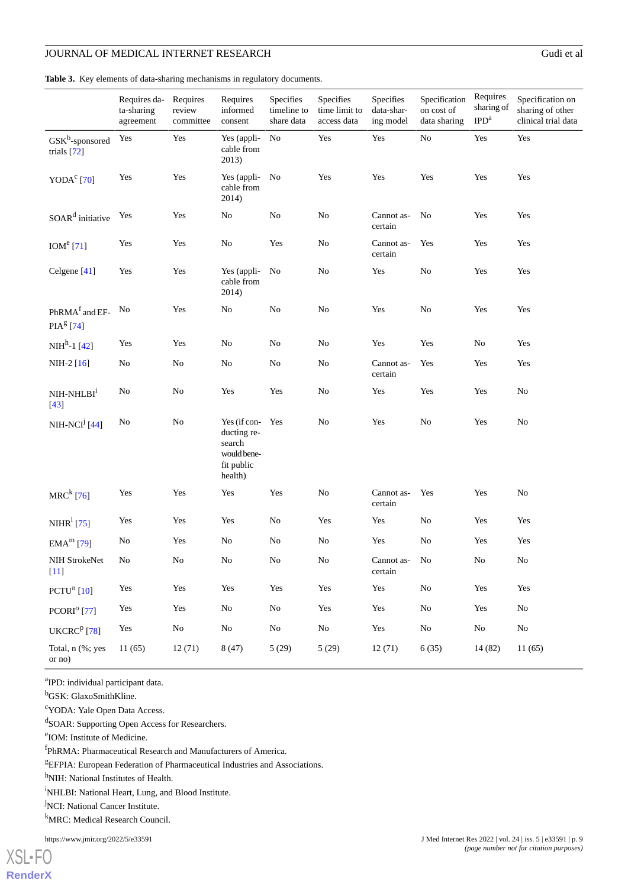<span id="page-8-0"></span>**Table 3.** Key elements of data-sharing mechanisms in regulatory documents.

|                                           | Requires da-<br>ta-sharing<br>agreement | Requires<br>review<br>committee | Requires<br>informed<br>consent                                               | Specifies<br>timeline to<br>share data | Specifies<br>time limit to<br>access data | Specifies<br>data-shar-<br>ing model | Specification<br>on cost of<br>data sharing | Requires<br>sharing of<br>IPD <sup>a</sup> | Specification on<br>sharing of other<br>clinical trial data |
|-------------------------------------------|-----------------------------------------|---------------------------------|-------------------------------------------------------------------------------|----------------------------------------|-------------------------------------------|--------------------------------------|---------------------------------------------|--------------------------------------------|-------------------------------------------------------------|
| $GSK^b$ -sponsored<br>trials [72]         | Yes                                     | Yes                             | Yes (appli-<br>cable from<br>2013)                                            | No                                     | Yes                                       | Yes                                  | No                                          | Yes                                        | Yes                                                         |
| YODA $c$ <sup>c</sup> [70]                | Yes                                     | Yes                             | Yes (appli-<br>cable from<br>2014)                                            | No                                     | Yes                                       | Yes                                  | Yes                                         | Yes                                        | Yes                                                         |
| SOAR <sup>d</sup> initiative              | Yes                                     | Yes                             | No                                                                            | N <sub>o</sub>                         | N <sub>o</sub>                            | Cannot as-<br>certain                | No                                          | Yes                                        | Yes                                                         |
| $IOMe$ [71]                               | Yes                                     | Yes                             | No                                                                            | Yes                                    | No                                        | Cannot as-<br>certain                | Yes                                         | Yes                                        | Yes                                                         |
| Celgene <sup>[41]</sup>                   | Yes                                     | Yes                             | Yes (appli-<br>cable from<br>2014)                                            | No                                     | No                                        | Yes                                  | $\rm No$                                    | Yes                                        | Yes                                                         |
| PhRMA <sup>f</sup> and EF-<br>$PIAg$ [74] | No                                      | Yes                             | No                                                                            | N <sub>0</sub>                         | N <sub>o</sub>                            | Yes                                  | N <sub>0</sub>                              | Yes                                        | Yes                                                         |
| $NHh - 1$ [42]                            | Yes                                     | Yes                             | No                                                                            | N <sub>o</sub>                         | N <sub>o</sub>                            | Yes                                  | Yes                                         | N <sub>0</sub>                             | Yes                                                         |
| $NIH-2$ [16]                              | N <sub>0</sub>                          | N <sub>0</sub>                  | No                                                                            | No                                     | No                                        | Cannot as-<br>certain                | Yes                                         | Yes                                        | Yes                                                         |
| NIH-NHLBI <sup>i</sup><br>$[43]$          | $\rm No$                                | $\rm No$                        | Yes                                                                           | Yes                                    | No                                        | Yes                                  | Yes                                         | Yes                                        | N <sub>o</sub>                                              |
| NIH-NC $I^j$ [44]                         | N <sub>0</sub>                          | $\rm No$                        | Yes (if con-<br>ducting re-<br>search<br>would bene-<br>fit public<br>health) | Yes                                    | No                                        | Yes                                  | No                                          | Yes                                        | N <sub>o</sub>                                              |
| $MRC^{k}$ [76]                            | Yes                                     | Yes                             | Yes                                                                           | Yes                                    | No                                        | Cannot as-<br>certain                | Yes                                         | Yes                                        | No                                                          |
| NIHR <sup>1</sup> [75]                    | Yes                                     | Yes                             | Yes                                                                           | No                                     | Yes                                       | Yes                                  | N <sub>0</sub>                              | Yes                                        | Yes                                                         |
| $EMAm$ [79]                               | No                                      | Yes                             | No                                                                            | No                                     | No                                        | Yes                                  | No                                          | Yes                                        | Yes                                                         |
| NIH StrokeNet<br>$[11]$                   | $\rm No$                                | ${\rm No}$                      | $\rm No$                                                                      | $\rm No$                               | ${\rm No}$                                | $\mbox{Carnot}$ as-<br>certain       | No                                          | ${\rm No}$                                 | $\rm No$                                                    |
| $PCTUn$ [10]                              | Yes                                     | Yes                             | Yes                                                                           | Yes                                    | Yes                                       | Yes                                  | $\rm No$                                    | Yes                                        | Yes                                                         |
| $PCORIo$ [77]                             | Yes                                     | Yes                             | No                                                                            | $\rm No$                               | Yes                                       | Yes                                  | N <sub>0</sub>                              | Yes                                        | No                                                          |
| UKCRC $P$ [78]                            | Yes                                     | No                              | No                                                                            | No                                     | $\rm No$                                  | Yes                                  | $\rm No$                                    | No                                         | No                                                          |
| Total, n (%; yes<br>$\alpha$ no)          | 11(65)                                  | 12(71)                          | 8(47)                                                                         | 5(29)                                  | 5(29)                                     | 12(71)                               | 6(35)                                       | 14 (82)                                    | 11(65)                                                      |

<sup>a</sup>IPD: individual participant data.

<sup>b</sup>GSK: GlaxoSmithKline.

<sup>c</sup>YODA: Yale Open Data Access.

dSOAR: Supporting Open Access for Researchers.

e IOM: Institute of Medicine.

f PhRMA: Pharmaceutical Research and Manufacturers of America.

 ${}^{g}EFPIA$ : European Federation of Pharmaceutical Industries and Associations.

h<sub>NIH:</sub> National Institutes of Health.

<sup>i</sup>NHLBI: National Heart, Lung, and Blood Institute.

<sup>j</sup>NCI: National Cancer Institute.

<sup>k</sup>MRC: Medical Research Council.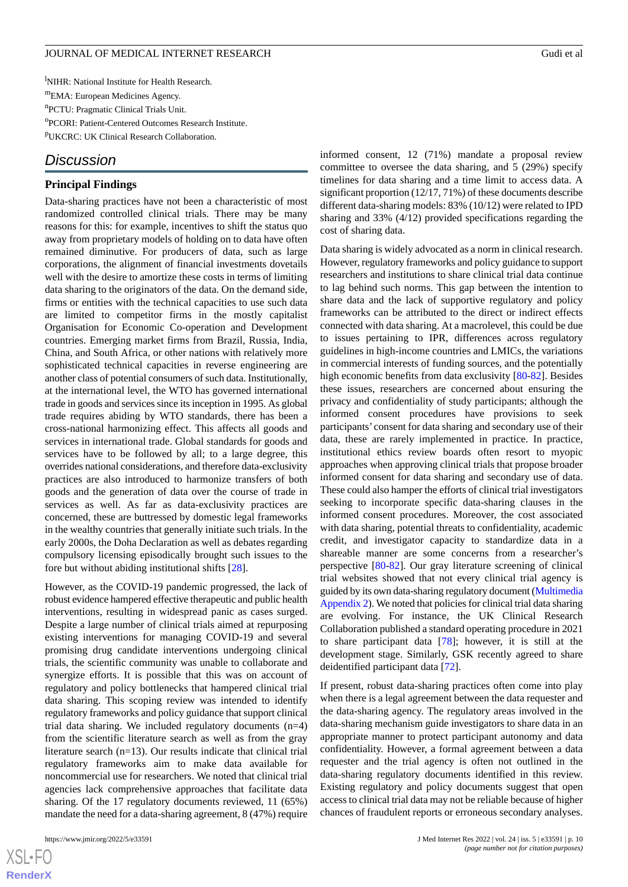<sup>1</sup>NIHR: National Institute for Health Research. <sup>m</sup>EMA: European Medicines Agency. n PCTU: Pragmatic Clinical Trials Unit. o PCORI: Patient-Centered Outcomes Research Institute. <sup>p</sup>UKCRC: UK Clinical Research Collaboration.

# *Discussion*

#### **Principal Findings**

Data-sharing practices have not been a characteristic of most randomized controlled clinical trials. There may be many reasons for this: for example, incentives to shift the status quo away from proprietary models of holding on to data have often remained diminutive. For producers of data, such as large corporations, the alignment of financial investments dovetails well with the desire to amortize these costs in terms of limiting data sharing to the originators of the data. On the demand side, firms or entities with the technical capacities to use such data are limited to competitor firms in the mostly capitalist Organisation for Economic Co-operation and Development countries. Emerging market firms from Brazil, Russia, India, China, and South Africa, or other nations with relatively more sophisticated technical capacities in reverse engineering are another class of potential consumers of such data. Institutionally, at the international level, the WTO has governed international trade in goods and services since its inception in 1995. As global trade requires abiding by WTO standards, there has been a cross-national harmonizing effect. This affects all goods and services in international trade. Global standards for goods and services have to be followed by all; to a large degree, this overrides national considerations, and therefore data-exclusivity practices are also introduced to harmonize transfers of both goods and the generation of data over the course of trade in services as well. As far as data-exclusivity practices are concerned, these are buttressed by domestic legal frameworks in the wealthy countries that generally initiate such trials. In the early 2000s, the Doha Declaration as well as debates regarding compulsory licensing episodically brought such issues to the fore but without abiding institutional shifts [[28\]](#page-12-16).

However, as the COVID-19 pandemic progressed, the lack of robust evidence hampered effective therapeutic and public health interventions, resulting in widespread panic as cases surged. Despite a large number of clinical trials aimed at repurposing existing interventions for managing COVID-19 and several promising drug candidate interventions undergoing clinical trials, the scientific community was unable to collaborate and synergize efforts. It is possible that this was on account of regulatory and policy bottlenecks that hampered clinical trial data sharing. This scoping review was intended to identify regulatory frameworks and policy guidance that support clinical trial data sharing. We included regulatory documents (n=4) from the scientific literature search as well as from the gray literature search (n=13). Our results indicate that clinical trial regulatory frameworks aim to make data available for noncommercial use for researchers. We noted that clinical trial agencies lack comprehensive approaches that facilitate data sharing. Of the 17 regulatory documents reviewed, 11 (65%) mandate the need for a data-sharing agreement, 8 (47%) require

 $XS$  • FC **[RenderX](http://www.renderx.com/)** informed consent, 12 (71%) mandate a proposal review committee to oversee the data sharing, and 5 (29%) specify timelines for data sharing and a time limit to access data. A significant proportion (12/17, 71%) of these documents describe different data-sharing models: 83% (10/12) were related to IPD sharing and 33% (4/12) provided specifications regarding the cost of sharing data.

Data sharing is widely advocated as a norm in clinical research. However, regulatory frameworks and policy guidance to support researchers and institutions to share clinical trial data continue to lag behind such norms. This gap between the intention to share data and the lack of supportive regulatory and policy frameworks can be attributed to the direct or indirect effects connected with data sharing. At a macrolevel, this could be due to issues pertaining to IPR, differences across regulatory guidelines in high-income countries and LMICs, the variations in commercial interests of funding sources, and the potentially high economic benefits from data exclusivity [[80](#page-14-15)[-82](#page-14-16)]. Besides these issues, researchers are concerned about ensuring the privacy and confidentiality of study participants; although the informed consent procedures have provisions to seek participants' consent for data sharing and secondary use of their data, these are rarely implemented in practice. In practice, institutional ethics review boards often resort to myopic approaches when approving clinical trials that propose broader informed consent for data sharing and secondary use of data. These could also hamper the efforts of clinical trial investigators seeking to incorporate specific data-sharing clauses in the informed consent procedures. Moreover, the cost associated with data sharing, potential threats to confidentiality, academic credit, and investigator capacity to standardize data in a shareable manner are some concerns from a researcher's perspective [[80-](#page-14-15)[82](#page-14-16)]. Our gray literature screening of clinical trial websites showed that not every clinical trial agency is guided by its own data-sharing regulatory document [\(Multimedia](#page-11-9) [Appendix 2](#page-11-9)). We noted that policies for clinical trial data sharing are evolving. For instance, the UK Clinical Research Collaboration published a standard operating procedure in 2021 to share participant data [[78\]](#page-14-14); however, it is still at the development stage. Similarly, GSK recently agreed to share deidentified participant data [[72\]](#page-14-9).

If present, robust data-sharing practices often come into play when there is a legal agreement between the data requester and the data-sharing agency. The regulatory areas involved in the data-sharing mechanism guide investigators to share data in an appropriate manner to protect participant autonomy and data confidentiality. However, a formal agreement between a data requester and the trial agency is often not outlined in the data-sharing regulatory documents identified in this review. Existing regulatory and policy documents suggest that open access to clinical trial data may not be reliable because of higher chances of fraudulent reports or erroneous secondary analyses.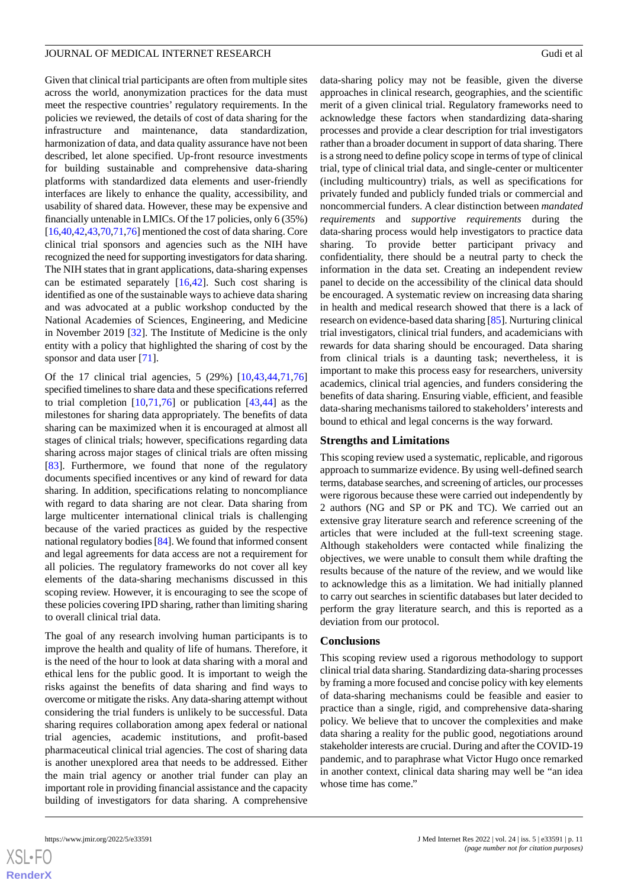Given that clinical trial participants are often from multiple sites across the world, anonymization practices for the data must meet the respective countries' regulatory requirements. In the policies we reviewed, the details of cost of data sharing for the infrastructure and maintenance, data standardization, harmonization of data, and data quality assurance have not been described, let alone specified. Up-front resource investments for building sustainable and comprehensive data-sharing platforms with standardized data elements and user-friendly interfaces are likely to enhance the quality, accessibility, and usability of shared data. However, these may be expensive and financially untenable in LMICs. Of the 17 policies, only 6 (35%) [[16,](#page-12-5)[40](#page-13-4)[,42](#page-13-8),[43,](#page-13-9)[70](#page-14-5),[71](#page-14-10),[76\]](#page-14-12) mentioned the cost of data sharing. Core clinical trial sponsors and agencies such as the NIH have recognized the need for supporting investigators for data sharing. The NIH states that in grant applications, data-sharing expenses can be estimated separately [[16,](#page-12-5)[42](#page-13-8)]. Such cost sharing is identified as one of the sustainable ways to achieve data sharing and was advocated at a public workshop conducted by the National Academies of Sciences, Engineering, and Medicine in November 2019 [\[32](#page-12-20)]. The Institute of Medicine is the only entity with a policy that highlighted the sharing of cost by the sponsor and data user [[71\]](#page-14-10).

Of the 17 clinical trial agencies, 5 (29%) [\[10](#page-11-7),[43](#page-13-9)[,44](#page-13-7),[71](#page-14-10)[,76](#page-14-12)] specified timelines to share data and these specifications referred to trial completion  $[10,71,76]$  $[10,71,76]$  $[10,71,76]$  $[10,71,76]$  $[10,71,76]$  or publication  $[43,44]$  $[43,44]$  $[43,44]$  as the milestones for sharing data appropriately. The benefits of data sharing can be maximized when it is encouraged at almost all stages of clinical trials; however, specifications regarding data sharing across major stages of clinical trials are often missing [[83\]](#page-14-17). Furthermore, we found that none of the regulatory documents specified incentives or any kind of reward for data sharing. In addition, specifications relating to noncompliance with regard to data sharing are not clear. Data sharing from large multicenter international clinical trials is challenging because of the varied practices as guided by the respective national regulatory bodies [\[84](#page-14-18)]. We found that informed consent and legal agreements for data access are not a requirement for all policies. The regulatory frameworks do not cover all key elements of the data-sharing mechanisms discussed in this scoping review. However, it is encouraging to see the scope of these policies covering IPD sharing, rather than limiting sharing to overall clinical trial data.

The goal of any research involving human participants is to improve the health and quality of life of humans. Therefore, it is the need of the hour to look at data sharing with a moral and ethical lens for the public good. It is important to weigh the risks against the benefits of data sharing and find ways to overcome or mitigate the risks. Any data-sharing attempt without considering the trial funders is unlikely to be successful. Data sharing requires collaboration among apex federal or national trial agencies, academic institutions, and profit-based pharmaceutical clinical trial agencies. The cost of sharing data is another unexplored area that needs to be addressed. Either the main trial agency or another trial funder can play an important role in providing financial assistance and the capacity building of investigators for data sharing. A comprehensive

data-sharing policy may not be feasible, given the diverse approaches in clinical research, geographies, and the scientific merit of a given clinical trial. Regulatory frameworks need to acknowledge these factors when standardizing data-sharing processes and provide a clear description for trial investigators rather than a broader document in support of data sharing. There is a strong need to define policy scope in terms of type of clinical trial, type of clinical trial data, and single-center or multicenter (including multicountry) trials, as well as specifications for privately funded and publicly funded trials or commercial and noncommercial funders. A clear distinction between *mandated requirements* and *supportive requirements* during the data-sharing process would help investigators to practice data sharing. To provide better participant privacy and confidentiality, there should be a neutral party to check the information in the data set. Creating an independent review panel to decide on the accessibility of the clinical data should be encouraged. A systematic review on increasing data sharing in health and medical research showed that there is a lack of research on evidence-based data sharing [\[85](#page-14-19)]. Nurturing clinical trial investigators, clinical trial funders, and academicians with rewards for data sharing should be encouraged. Data sharing from clinical trials is a daunting task; nevertheless, it is important to make this process easy for researchers, university academics, clinical trial agencies, and funders considering the benefits of data sharing. Ensuring viable, efficient, and feasible data-sharing mechanisms tailored to stakeholders'interests and bound to ethical and legal concerns is the way forward.

#### **Strengths and Limitations**

This scoping review used a systematic, replicable, and rigorous approach to summarize evidence. By using well-defined search terms, database searches, and screening of articles, our processes were rigorous because these were carried out independently by 2 authors (NG and SP or PK and TC). We carried out an extensive gray literature search and reference screening of the articles that were included at the full-text screening stage. Although stakeholders were contacted while finalizing the objectives, we were unable to consult them while drafting the results because of the nature of the review, and we would like to acknowledge this as a limitation. We had initially planned to carry out searches in scientific databases but later decided to perform the gray literature search, and this is reported as a deviation from our protocol.

#### **Conclusions**

This scoping review used a rigorous methodology to support clinical trial data sharing. Standardizing data-sharing processes by framing a more focused and concise policy with key elements of data-sharing mechanisms could be feasible and easier to practice than a single, rigid, and comprehensive data-sharing policy. We believe that to uncover the complexities and make data sharing a reality for the public good, negotiations around stakeholder interests are crucial. During and after the COVID-19 pandemic, and to paraphrase what Victor Hugo once remarked in another context, clinical data sharing may well be "an idea whose time has come."

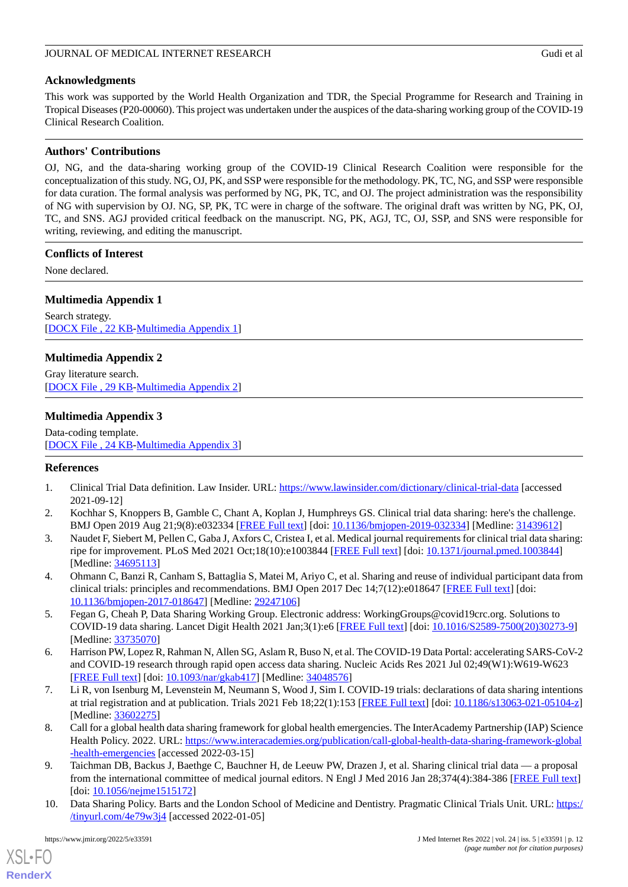# **Acknowledgments**

This work was supported by the World Health Organization and TDR, the Special Programme for Research and Training in Tropical Diseases (P20-00060). This project was undertaken under the auspices of the data-sharing working group of the COVID-19 Clinical Research Coalition.

# **Authors' Contributions**

OJ, NG, and the data-sharing working group of the COVID-19 Clinical Research Coalition were responsible for the conceptualization of this study. NG, OJ, PK, and SSP were responsible for the methodology. PK, TC, NG, and SSP were responsible for data curation. The formal analysis was performed by NG, PK, TC, and OJ. The project administration was the responsibility of NG with supervision by OJ. NG, SP, PK, TC were in charge of the software. The original draft was written by NG, PK, OJ, TC, and SNS. AGJ provided critical feedback on the manuscript. NG, PK, AGJ, TC, OJ, SSP, and SNS were responsible for writing, reviewing, and editing the manuscript.

# **Conflicts of Interest**

<span id="page-11-8"></span>None declared.

# **Multimedia Appendix 1**

<span id="page-11-9"></span>Search strategy. [[DOCX File , 22 KB](https://jmir.org/api/download?alt_name=jmir_v24i5e33591_app1.docx&filename=938fac62930094f52042362e6fb761e3.docx)-[Multimedia Appendix 1\]](https://jmir.org/api/download?alt_name=jmir_v24i5e33591_app1.docx&filename=938fac62930094f52042362e6fb761e3.docx)

# **Multimedia Appendix 2**

<span id="page-11-10"></span>Gray literature search. [[DOCX File , 29 KB](https://jmir.org/api/download?alt_name=jmir_v24i5e33591_app2.docx&filename=8132e761a13e98d1d174d812c116a810.docx)-[Multimedia Appendix 2\]](https://jmir.org/api/download?alt_name=jmir_v24i5e33591_app2.docx&filename=8132e761a13e98d1d174d812c116a810.docx)

# **Multimedia Appendix 3**

<span id="page-11-0"></span>Data-coding template. [[DOCX File , 24 KB](https://jmir.org/api/download?alt_name=jmir_v24i5e33591_app3.docx&filename=a39980a9f286a54ef966796814026f23.docx)-[Multimedia Appendix 3\]](https://jmir.org/api/download?alt_name=jmir_v24i5e33591_app3.docx&filename=a39980a9f286a54ef966796814026f23.docx)

# <span id="page-11-1"></span>**References**

- <span id="page-11-2"></span>1. Clinical Trial Data definition. Law Insider. URL: <https://www.lawinsider.com/dictionary/clinical-trial-data> [accessed] 2021-09-12]
- <span id="page-11-3"></span>2. Kochhar S, Knoppers B, Gamble C, Chant A, Koplan J, Humphreys GS. Clinical trial data sharing: here's the challenge. BMJ Open 2019 Aug 21;9(8):e032334 [\[FREE Full text\]](https://bmjopen.bmj.com/lookup/pmidlookup?view=long&pmid=31439612) [doi: [10.1136/bmjopen-2019-032334\]](http://dx.doi.org/10.1136/bmjopen-2019-032334) [Medline: [31439612\]](http://www.ncbi.nlm.nih.gov/entrez/query.fcgi?cmd=Retrieve&db=PubMed&list_uids=31439612&dopt=Abstract)
- <span id="page-11-4"></span>3. Naudet F, Siebert M, Pellen C, Gaba J, Axfors C, Cristea I, et al. Medical journal requirements for clinical trial data sharing: ripe for improvement. PLoS Med 2021 Oct;18(10):e1003844 [[FREE Full text](https://dx.plos.org/10.1371/journal.pmed.1003844)] [doi: [10.1371/journal.pmed.1003844](http://dx.doi.org/10.1371/journal.pmed.1003844)] [Medline: [34695113](http://www.ncbi.nlm.nih.gov/entrez/query.fcgi?cmd=Retrieve&db=PubMed&list_uids=34695113&dopt=Abstract)]
- 4. Ohmann C, Banzi R, Canham S, Battaglia S, Matei M, Ariyo C, et al. Sharing and reuse of individual participant data from clinical trials: principles and recommendations. BMJ Open 2017 Dec 14;7(12):e018647 [\[FREE Full text\]](https://bmjopen.bmj.com/lookup/pmidlookup?view=long&pmid=29247106) [doi: [10.1136/bmjopen-2017-018647\]](http://dx.doi.org/10.1136/bmjopen-2017-018647) [Medline: [29247106](http://www.ncbi.nlm.nih.gov/entrez/query.fcgi?cmd=Retrieve&db=PubMed&list_uids=29247106&dopt=Abstract)]
- 5. Fegan G, Cheah P, Data Sharing Working Group. Electronic address: WorkingGroups@covid19crc.org. Solutions to COVID-19 data sharing. Lancet Digit Health 2021 Jan;3(1):e6 [\[FREE Full text\]](https://linkinghub.elsevier.com/retrieve/pii/S2589-7500(20)30273-9) [doi: [10.1016/S2589-7500\(20\)30273-9](http://dx.doi.org/10.1016/S2589-7500(20)30273-9)] [Medline: [33735070](http://www.ncbi.nlm.nih.gov/entrez/query.fcgi?cmd=Retrieve&db=PubMed&list_uids=33735070&dopt=Abstract)]
- <span id="page-11-5"></span>6. Harrison PW, Lopez R, Rahman N, Allen SG, Aslam R, Buso N, et al. The COVID-19 Data Portal: accelerating SARS-CoV-2 and COVID-19 research through rapid open access data sharing. Nucleic Acids Res 2021 Jul 02;49(W1):W619-W623 [[FREE Full text](http://europepmc.org/abstract/MED/34048576)] [doi: [10.1093/nar/gkab417\]](http://dx.doi.org/10.1093/nar/gkab417) [Medline: [34048576](http://www.ncbi.nlm.nih.gov/entrez/query.fcgi?cmd=Retrieve&db=PubMed&list_uids=34048576&dopt=Abstract)]
- <span id="page-11-6"></span>7. Li R, von Isenburg M, Levenstein M, Neumann S, Wood J, Sim I. COVID-19 trials: declarations of data sharing intentions at trial registration and at publication. Trials 2021 Feb 18;22(1):153 [[FREE Full text](https://trialsjournal.biomedcentral.com/articles/10.1186/s13063-021-05104-z)] [doi: [10.1186/s13063-021-05104-z](http://dx.doi.org/10.1186/s13063-021-05104-z)] [Medline: [33602275](http://www.ncbi.nlm.nih.gov/entrez/query.fcgi?cmd=Retrieve&db=PubMed&list_uids=33602275&dopt=Abstract)]
- <span id="page-11-7"></span>8. Call for a global health data sharing framework for global health emergencies. The InterAcademy Partnership (IAP) Science Health Policy. 2022. URL: [https://www.interacademies.org/publication/call-global-health-data-sharing-framework-global](https://www.interacademies.org/publication/call-global-health-data-sharing-framework-global-health-emergencies) [-health-emergencies](https://www.interacademies.org/publication/call-global-health-data-sharing-framework-global-health-emergencies) [accessed 2022-03-15]
- 9. Taichman DB, Backus J, Baethge C, Bauchner H, de Leeuw PW, Drazen J, et al. Sharing clinical trial data a proposal from the international committee of medical journal editors. N Engl J Med 2016 Jan 28;374(4):384-386 [\[FREE Full text\]](https://doi.org/10.1056/nejme1515172) [doi: [10.1056/nejme1515172\]](http://dx.doi.org/10.1056/nejme1515172)
- 10. Data Sharing Policy. Barts and the London School of Medicine and Dentistry. Pragmatic Clinical Trials Unit. URL: [https:/](https://www.qmul.ac.uk/pctu/media/pragmatic-clinical-trials-pctu/research/PCTU_POL_IG_02-Data-Sharing-Policy-v5.0-(for-publication).pdf) [/tinyurl.com/4e79w3j4](https://www.qmul.ac.uk/pctu/media/pragmatic-clinical-trials-pctu/research/PCTU_POL_IG_02-Data-Sharing-Policy-v5.0-(for-publication).pdf) [accessed 2022-01-05]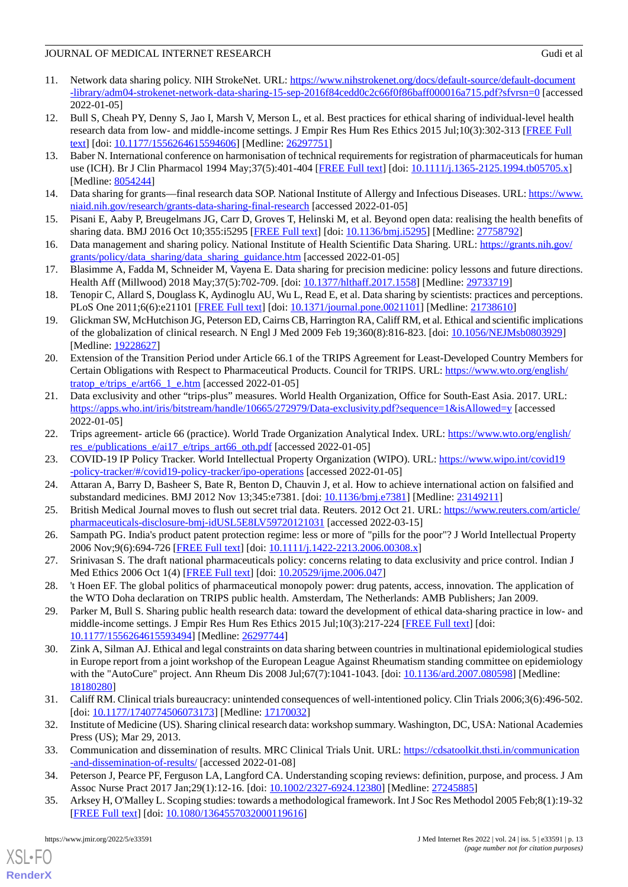- <span id="page-12-0"></span>11. Network data sharing policy. NIH StrokeNet. URL: [https://www.nihstrokenet.org/docs/default-source/default-document](https://www.nihstrokenet.org/docs/default-source/default-document-library/adm04-strokenet-network-data-sharing-15-sep-2016f84cedd0c2c66f0f86baff000016a715.pdf?sfvrsn=0) [-library/adm04-strokenet-network-data-sharing-15-sep-2016f84cedd0c2c66f0f86baff000016a715.pdf?sfvrsn=0](https://www.nihstrokenet.org/docs/default-source/default-document-library/adm04-strokenet-network-data-sharing-15-sep-2016f84cedd0c2c66f0f86baff000016a715.pdf?sfvrsn=0) [accessed 2022-01-05]
- <span id="page-12-1"></span>12. Bull S, Cheah PY, Denny S, Jao I, Marsh V, Merson L, et al. Best practices for ethical sharing of individual-level health research data from low- and middle-income settings. J Empir Res Hum Res Ethics 2015 Jul;10(3):302-313 [[FREE Full](https://journals.sagepub.com/doi/10.1177/1556264615594606?url_ver=Z39.88-2003&rfr_id=ori:rid:crossref.org&rfr_dat=cr_pub%3dpubmed) [text](https://journals.sagepub.com/doi/10.1177/1556264615594606?url_ver=Z39.88-2003&rfr_id=ori:rid:crossref.org&rfr_dat=cr_pub%3dpubmed)] [doi: [10.1177/1556264615594606\]](http://dx.doi.org/10.1177/1556264615594606) [Medline: [26297751\]](http://www.ncbi.nlm.nih.gov/entrez/query.fcgi?cmd=Retrieve&db=PubMed&list_uids=26297751&dopt=Abstract)
- <span id="page-12-2"></span>13. Baber N. International conference on harmonisation of technical requirements for registration of pharmaceuticals for human use (ICH). Br J Clin Pharmacol 1994 May;37(5):401-404 [\[FREE Full text\]](https://onlinelibrary.wiley.com/resolve/openurl?genre=article&sid=nlm:pubmed&issn=0306-5251&date=1994&volume=37&issue=5&spage=401) [doi: [10.1111/j.1365-2125.1994.tb05705.x](http://dx.doi.org/10.1111/j.1365-2125.1994.tb05705.x)] [Medline: [8054244\]](http://www.ncbi.nlm.nih.gov/entrez/query.fcgi?cmd=Retrieve&db=PubMed&list_uids=8054244&dopt=Abstract)
- <span id="page-12-4"></span><span id="page-12-3"></span>14. Data sharing for grants—final research data SOP. National Institute of Allergy and Infectious Diseases. URL: [https://www.](https://www.niaid.nih.gov/research/grants-data-sharing-final-research) [niaid.nih.gov/research/grants-data-sharing-final-research](https://www.niaid.nih.gov/research/grants-data-sharing-final-research) [accessed 2022-01-05]
- <span id="page-12-5"></span>15. Pisani E, Aaby P, Breugelmans JG, Carr D, Groves T, Helinski M, et al. Beyond open data: realising the health benefits of sharing data. BMJ 2016 Oct 10;355:i5295 [[FREE Full text](http://europepmc.org/abstract/MED/27758792)] [doi: [10.1136/bmj.i5295](http://dx.doi.org/10.1136/bmj.i5295)] [Medline: [27758792](http://www.ncbi.nlm.nih.gov/entrez/query.fcgi?cmd=Retrieve&db=PubMed&list_uids=27758792&dopt=Abstract)]
- <span id="page-12-6"></span>16. Data management and sharing policy. National Institute of Health Scientific Data Sharing. URL: [https://grants.nih.gov/](https://grants.nih.gov/grants/policy/data_sharing/data_sharing_guidance.htm) [grants/policy/data\\_sharing/data\\_sharing\\_guidance.htm](https://grants.nih.gov/grants/policy/data_sharing/data_sharing_guidance.htm) [accessed 2022-01-05]
- <span id="page-12-7"></span>17. Blasimme A, Fadda M, Schneider M, Vayena E. Data sharing for precision medicine: policy lessons and future directions. Health Aff (Millwood) 2018 May;37(5):702-709. [doi: [10.1377/hlthaff.2017.1558\]](http://dx.doi.org/10.1377/hlthaff.2017.1558) [Medline: [29733719](http://www.ncbi.nlm.nih.gov/entrez/query.fcgi?cmd=Retrieve&db=PubMed&list_uids=29733719&dopt=Abstract)]
- <span id="page-12-8"></span>18. Tenopir C, Allard S, Douglass K, Aydinoglu AU, Wu L, Read E, et al. Data sharing by scientists: practices and perceptions. PLoS One 2011;6(6):e21101 [[FREE Full text](https://dx.plos.org/10.1371/journal.pone.0021101)] [doi: [10.1371/journal.pone.0021101\]](http://dx.doi.org/10.1371/journal.pone.0021101) [Medline: [21738610](http://www.ncbi.nlm.nih.gov/entrez/query.fcgi?cmd=Retrieve&db=PubMed&list_uids=21738610&dopt=Abstract)]
- <span id="page-12-9"></span>19. Glickman SW, McHutchison JG, Peterson ED, Cairns CB, Harrington RA, Califf RM, et al. Ethical and scientific implications of the globalization of clinical research. N Engl J Med 2009 Feb 19;360(8):816-823. [doi: [10.1056/NEJMsb0803929](http://dx.doi.org/10.1056/NEJMsb0803929)] [Medline: [19228627](http://www.ncbi.nlm.nih.gov/entrez/query.fcgi?cmd=Retrieve&db=PubMed&list_uids=19228627&dopt=Abstract)]
- 20. Extension of the Transition Period under Article 66.1 of the TRIPS Agreement for Least-Developed Country Members for Certain Obligations with Respect to Pharmaceutical Products. Council for TRIPS. URL: [https://www.wto.org/english/](https://www.wto.org/english/tratop_e/trips_e/art66_1_e.htm) [tratop\\_e/trips\\_e/art66\\_1\\_e.htm](https://www.wto.org/english/tratop_e/trips_e/art66_1_e.htm) [accessed 2022-01-05]
- <span id="page-12-11"></span><span id="page-12-10"></span>21. Data exclusivity and other "trips-plus" measures. World Health Organization, Office for South-East Asia. 2017. URL: <https://apps.who.int/iris/bitstream/handle/10665/272979/Data-exclusivity.pdf?sequence=1&isAllowed=y> [accessed 2022-01-05]
- <span id="page-12-12"></span>22. Trips agreement- article 66 (practice). World Trade Organization Analytical Index. URL: [https://www.wto.org/english/](https://www.wto.org/english/res_e/publications_e/ai17_e/trips_art66_oth.pdf) [res\\_e/publications\\_e/ai17\\_e/trips\\_art66\\_oth.pdf](https://www.wto.org/english/res_e/publications_e/ai17_e/trips_art66_oth.pdf) [accessed 2022-01-05]
- <span id="page-12-13"></span>23. COVID-19 IP Policy Tracker. World Intellectual Property Organization (WIPO). URL: [https://www.wipo.int/covid19](https://www.wipo.int/covid19-policy-tracker/#/covid19-policy-tracker/ipo-operations) [-policy-tracker/#/covid19-policy-tracker/ipo-operations](https://www.wipo.int/covid19-policy-tracker/#/covid19-policy-tracker/ipo-operations) [accessed 2022-01-05]
- <span id="page-12-14"></span>24. Attaran A, Barry D, Basheer S, Bate R, Benton D, Chauvin J, et al. How to achieve international action on falsified and substandard medicines. BMJ 2012 Nov 13;345:e7381. [doi: [10.1136/bmj.e7381\]](http://dx.doi.org/10.1136/bmj.e7381) [Medline: [23149211](http://www.ncbi.nlm.nih.gov/entrez/query.fcgi?cmd=Retrieve&db=PubMed&list_uids=23149211&dopt=Abstract)]
- <span id="page-12-15"></span>25. British Medical Journal moves to flush out secret trial data. Reuters. 2012 Oct 21. URL: [https://www.reuters.com/article/](https://www.reuters.com/article/pharmaceuticals-disclosure-bmj-idUSL5E8LV59720121031) [pharmaceuticals-disclosure-bmj-idUSL5E8LV59720121031](https://www.reuters.com/article/pharmaceuticals-disclosure-bmj-idUSL5E8LV59720121031) [accessed 2022-03-15]
- <span id="page-12-16"></span>26. Sampath PG. India's product patent protection regime: less or more of "pills for the poor"? J World Intellectual Property 2006 Nov;9(6):694-726 [[FREE Full text\]](https://doi.org/10.1111/j.1422-2213.2006.00308.x) [doi: [10.1111/j.1422-2213.2006.00308.x](http://dx.doi.org/10.1111/j.1422-2213.2006.00308.x)]
- <span id="page-12-17"></span>27. Srinivasan S. The draft national pharmaceuticals policy: concerns relating to data exclusivity and price control. Indian J Med Ethics 2006 Oct 1(4) [[FREE Full text](https://doi.org/10.20529/ijme.2006.047)] [doi: [10.20529/ijme.2006.047](http://dx.doi.org/10.20529/ijme.2006.047)]
- <span id="page-12-18"></span>28. 't Hoen EF. The global politics of pharmaceutical monopoly power: drug patents, access, innovation. The application of the WTO Doha declaration on TRIPS public health. Amsterdam, The Netherlands: AMB Publishers; Jan 2009.
- 29. Parker M, Bull S. Sharing public health research data: toward the development of ethical data-sharing practice in low- and middle-income settings. J Empir Res Hum Res Ethics 2015 Jul;10(3):217-224 [[FREE Full text\]](https://journals.sagepub.com/doi/10.1177/1556264615593494?url_ver=Z39.88-2003&rfr_id=ori:rid:crossref.org&rfr_dat=cr_pub%3dpubmed) [doi: [10.1177/1556264615593494\]](http://dx.doi.org/10.1177/1556264615593494) [Medline: [26297744\]](http://www.ncbi.nlm.nih.gov/entrez/query.fcgi?cmd=Retrieve&db=PubMed&list_uids=26297744&dopt=Abstract)
- <span id="page-12-20"></span><span id="page-12-19"></span>30. Zink A, Silman AJ. Ethical and legal constraints on data sharing between countries in multinational epidemiological studies in Europe report from a joint workshop of the European League Against Rheumatism standing committee on epidemiology with the "AutoCure" project. Ann Rheum Dis 2008 Jul;67(7):1041-1043. [doi: [10.1136/ard.2007.080598](http://dx.doi.org/10.1136/ard.2007.080598)] [Medline: [18180280](http://www.ncbi.nlm.nih.gov/entrez/query.fcgi?cmd=Retrieve&db=PubMed&list_uids=18180280&dopt=Abstract)]
- <span id="page-12-22"></span><span id="page-12-21"></span>31. Califf RM. Clinical trials bureaucracy: unintended consequences of well-intentioned policy. Clin Trials 2006;3(6):496-502. [doi: [10.1177/1740774506073173](http://dx.doi.org/10.1177/1740774506073173)] [Medline: [17170032\]](http://www.ncbi.nlm.nih.gov/entrez/query.fcgi?cmd=Retrieve&db=PubMed&list_uids=17170032&dopt=Abstract)
- <span id="page-12-23"></span>32. Institute of Medicine (US). Sharing clinical research data: workshop summary. Washington, DC, USA: National Academies Press (US); Mar 29, 2013.
- 33. Communication and dissemination of results. MRC Clinical Trials Unit. URL: [https://cdsatoolkit.thsti.in/communication](https://cdsatoolkit.thsti.in/communication-and-dissemination-of-results/) [-and-dissemination-of-results/](https://cdsatoolkit.thsti.in/communication-and-dissemination-of-results/) [accessed 2022-01-08]
- 34. Peterson J, Pearce PF, Ferguson LA, Langford CA. Understanding scoping reviews: definition, purpose, and process. J Am Assoc Nurse Pract 2017 Jan; 29(1): 12-16. [doi: [10.1002/2327-6924.12380\]](http://dx.doi.org/10.1002/2327-6924.12380) [Medline: [27245885\]](http://www.ncbi.nlm.nih.gov/entrez/query.fcgi?cmd=Retrieve&db=PubMed&list_uids=27245885&dopt=Abstract)
- 35. Arksey H, O'Malley L. Scoping studies: towards a methodological framework. Int J Soc Res Methodol 2005 Feb;8(1):19-32 [[FREE Full text](https://doi.org/10.1080/1364557032000119616)] [doi: [10.1080/1364557032000119616\]](http://dx.doi.org/10.1080/1364557032000119616)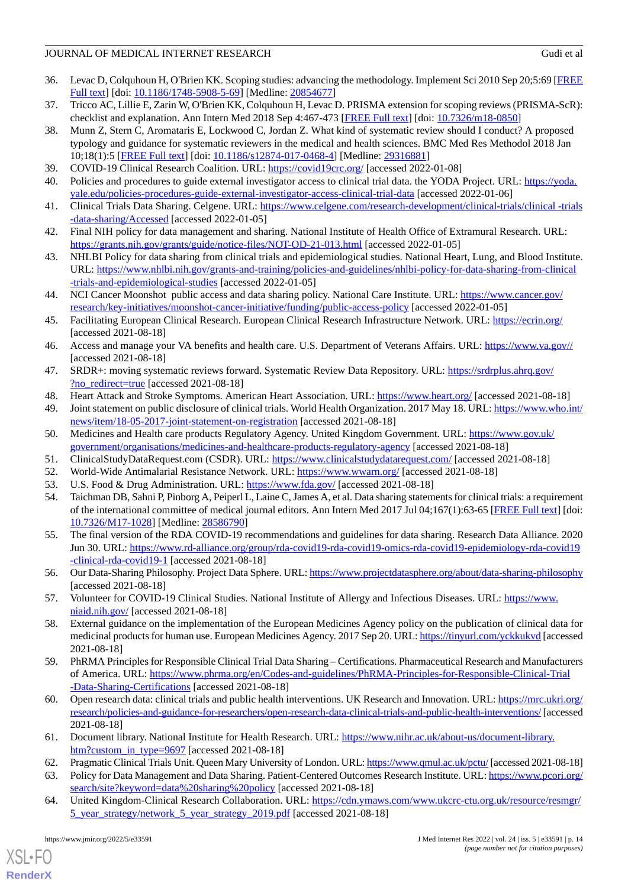- <span id="page-13-0"></span>36. Levac D, Colquhoun H, O'Brien KK. Scoping studies: advancing the methodology. Implement Sci 2010 Sep 20;5:69 [\[FREE](https://implementationscience.biomedcentral.com/articles/10.1186/1748-5908-5-69) [Full text\]](https://implementationscience.biomedcentral.com/articles/10.1186/1748-5908-5-69) [doi: [10.1186/1748-5908-5-69\]](http://dx.doi.org/10.1186/1748-5908-5-69) [Medline: [20854677](http://www.ncbi.nlm.nih.gov/entrez/query.fcgi?cmd=Retrieve&db=PubMed&list_uids=20854677&dopt=Abstract)]
- <span id="page-13-2"></span><span id="page-13-1"></span>37. Tricco AC, Lillie E, Zarin W, O'Brien KK, Colquhoun H, Levac D. PRISMA extension for scoping reviews (PRISMA-ScR): checklist and explanation. Ann Intern Med 2018 Sep 4:467-473 [[FREE Full text](https://doi.org/10.7326/m18-0850)] [doi: [10.7326/m18-0850\]](http://dx.doi.org/10.7326/m18-0850)
- 38. Munn Z, Stern C, Aromataris E, Lockwood C, Jordan Z. What kind of systematic review should I conduct? A proposed typology and guidance for systematic reviewers in the medical and health sciences. BMC Med Res Methodol 2018 Jan 10;18(1):5 [[FREE Full text\]](https://bmcmedresmethodol.biomedcentral.com/articles/10.1186/s12874-017-0468-4) [doi: [10.1186/s12874-017-0468-4](http://dx.doi.org/10.1186/s12874-017-0468-4)] [Medline: [29316881](http://www.ncbi.nlm.nih.gov/entrez/query.fcgi?cmd=Retrieve&db=PubMed&list_uids=29316881&dopt=Abstract)]
- <span id="page-13-4"></span><span id="page-13-3"></span>39. COVID-19 Clinical Research Coalition. URL:<https://covid19crc.org/> [accessed 2022-01-08]
- <span id="page-13-6"></span>40. Policies and procedures to guide external investigator access to clinical trial data. the YODA Project. URL: [https://yoda.](https://yoda.yale.edu/policies-procedures-guide-external-investigator-access-clinical-trial-data) [yale.edu/policies-procedures-guide-external-investigator-access-clinical-trial-data](https://yoda.yale.edu/policies-procedures-guide-external-investigator-access-clinical-trial-data) [accessed 2022-01-06]
- <span id="page-13-8"></span>41. Clinical Trials Data Sharing. Celgene. URL: [https://www.celgene.com/research-development/clinical-trials/clinical -trials](https://www.celgene.com/research-development/clinical-trials/clinical-trials-data-sharing/Accessed) [-data-sharing/Accessed](https://www.celgene.com/research-development/clinical-trials/clinical-trials-data-sharing/Accessed) [accessed 2022-01-05]
- <span id="page-13-9"></span>42. Final NIH policy for data management and sharing. National Institute of Health Office of Extramural Research. URL: <https://grants.nih.gov/grants/guide/notice-files/NOT-OD-21-013.html> [accessed 2022-01-05]
- <span id="page-13-7"></span>43. NHLBI Policy for data sharing from clinical trials and epidemiological studies. National Heart, Lung, and Blood Institute. URL: [https://www.nhlbi.nih.gov/grants-and-training/policies-and-guidelines/nhlbi-policy-for-data-sharing-from-clinical](https://www.nhlbi.nih.gov/grants-and-training/policies-and-guidelines/nhlbi-policy-for-data-sharing-from-clinical-trials-and-epidemiological-studies) [-trials-and-epidemiological-studies](https://www.nhlbi.nih.gov/grants-and-training/policies-and-guidelines/nhlbi-policy-for-data-sharing-from-clinical-trials-and-epidemiological-studies) [accessed 2022-01-05]
- 44. NCI Cancer Moonshot public access and data sharing policy. National Care Institute. URL: [https://www.cancer.gov/](https://www.cancer.gov/research/key-initiatives/moonshot-cancer-initiative/funding/public-access-policy) [research/key-initiatives/moonshot-cancer-initiative/funding/public-access-policy](https://www.cancer.gov/research/key-initiatives/moonshot-cancer-initiative/funding/public-access-policy) [accessed 2022-01-05]
- 45. Facilitating European Clinical Research. European Clinical Research Infrastructure Network. URL:<https://ecrin.org/> [accessed 2021-08-18]
- 46. Access and manage your VA benefits and health care. U.S. Department of Veterans Affairs. URL: <https://www.va.gov//> [accessed 2021-08-18]
- 47. SRDR+: moving systematic reviews forward. Systematic Review Data Repository. URL: [https://srdrplus.ahrq.gov/](https://srdrplus.ahrq.gov/?no_redirect=true) [?no\\_redirect=true](https://srdrplus.ahrq.gov/?no_redirect=true) [accessed 2021-08-18]
- 48. Heart Attack and Stroke Symptoms. American Heart Association. URL: <https://www.heart.org/> [accessed 2021-08-18]
- 49. Joint statement on public disclosure of clinical trials. World Health Organization. 2017 May 18. URL: [https://www.who.int/](https://www.who.int/news/item/18-05-2017-joint-statement-on-registration) [news/item/18-05-2017-joint-statement-on-registration](https://www.who.int/news/item/18-05-2017-joint-statement-on-registration) [accessed 2021-08-18]
- 50. Medicines and Health care products Regulatory Agency. United Kingdom Government. URL: [https://www.gov.uk/](https://www.gov.uk/government/organisations/medicines-and-healthcare-products-regulatory-agency) [government/organisations/medicines-and-healthcare-products-regulatory-agency](https://www.gov.uk/government/organisations/medicines-and-healthcare-products-regulatory-agency) [accessed 2021-08-18]
- 51. ClinicalStudyDataRequest.com (CSDR). URL: <https://www.clinicalstudydatarequest.com/> [accessed 2021-08-18]
- 52. World-Wide Antimalarial Resistance Network. URL: <https://www.wwarn.org/> [accessed 2021-08-18]
- 53. U.S. Food & Drug Administration. URL: <https://www.fda.gov/> [accessed 2021-08-18]
- 54. Taichman DB, Sahni P, Pinborg A, Peiperl L, Laine C, James A, et al. Data sharing statements for clinical trials: a requirement of the international committee of medical journal editors. Ann Intern Med 2017 Jul 04;167(1):63-65 [\[FREE Full text](https://www.acpjournals.org/doi/abs/10.7326/M17-1028?url_ver=Z39.88-2003&rfr_id=ori:rid:crossref.org&rfr_dat=cr_pub%3dpubmed)] [doi: [10.7326/M17-1028](http://dx.doi.org/10.7326/M17-1028)] [Medline: [28586790\]](http://www.ncbi.nlm.nih.gov/entrez/query.fcgi?cmd=Retrieve&db=PubMed&list_uids=28586790&dopt=Abstract)
- 55. The final version of the RDA COVID-19 recommendations and guidelines for data sharing. Research Data Alliance. 2020 Jun 30. URL: [https://www.rd-alliance.org/group/rda-covid19-rda-covid19-omics-rda-covid19-epidemiology-rda-covid19](https://www.rd-alliance.org/group/rda-covid19-rda-covid19-omics-rda-covid19-epidemiology-rda-covid19-clinical-rda-covid19-1) [-clinical-rda-covid19-1](https://www.rd-alliance.org/group/rda-covid19-rda-covid19-omics-rda-covid19-epidemiology-rda-covid19-clinical-rda-covid19-1) [accessed 2021-08-18]
- 56. Our Data-Sharing Philosophy. Project Data Sphere. URL:<https://www.projectdatasphere.org/about/data-sharing-philosophy> [accessed 2021-08-18]
- 57. Volunteer for COVID-19 Clinical Studies. National Institute of Allergy and Infectious Diseases. URL: [https://www.](https://www.niaid.nih.gov/) [niaid.nih.gov/](https://www.niaid.nih.gov/) [accessed 2021-08-18]
- 58. External guidance on the implementation of the European Medicines Agency policy on the publication of clinical data for medicinal products for human use. European Medicines Agency. 2017 Sep 20. URL: [https://tinyurl.com/yckkukvd](https://www.ema.europa.eu/en/documents/regulatory-procedural-guideline/external-guidance-implementation-european-medicines-agency-policy-publication-clinical-data_en-1.pdf) [accessed 2021-08-18]
- 59. PhRMA Principles for Responsible Clinical Trial Data Sharing Certifications. Pharmaceutical Research and Manufacturers of America. URL: [https://www.phrma.org/en/Codes-and-guidelines/PhRMA-Principles-for-Responsible-Clinical-Trial](https://www.phrma.org/en/Codes-and-guidelines/PhRMA-Principles-for-Responsible-Clinical-Trial-Data-Sharing-Certifications) [-Data-Sharing-Certifications](https://www.phrma.org/en/Codes-and-guidelines/PhRMA-Principles-for-Responsible-Clinical-Trial-Data-Sharing-Certifications) [accessed 2021-08-18]
- 60. Open research data: clinical trials and public health interventions. UK Research and Innovation. URL: [https://mrc.ukri.org/](https://mrc.ukri.org/research/policies-and-guidance-for-researchers/open-research-data-clinical-trials-and-public-health-interventions/) [research/policies-and-guidance-for-researchers/open-research-data-clinical-trials-and-public-health-interventions/](https://mrc.ukri.org/research/policies-and-guidance-for-researchers/open-research-data-clinical-trials-and-public-health-interventions/) [accessed 2021-08-18]
- <span id="page-13-5"></span>61. Document library. National Institute for Health Research. URL: [https://www.nihr.ac.uk/about-us/document-library.](https://www.nihr.ac.uk/about-us/document-library.htm?custom_in_type=9697) htm?custom\_in\_type= $9697$  [accessed 2021-08-18]
- 62. Pragmatic Clinical Trials Unit. Queen Mary University of London. URL:<https://www.qmul.ac.uk/pctu/> [accessed 2021-08-18]
- 63. Policy for Data Management and Data Sharing. Patient-Centered Outcomes Research Institute. URL: [https://www.pcori.org/](https://www.pcori.org/search/site?keyword=data%20sharing%20policy) [search/site?keyword=data%20sharing%20policy](https://www.pcori.org/search/site?keyword=data%20sharing%20policy) [accessed 2021-08-18]
- 64. United Kingdom-Clinical Research Collaboration. URL: [https://cdn.ymaws.com/www.ukcrc-ctu.org.uk/resource/resmgr/](https://cdn.ymaws.com/www.ukcrc-ctu.org.uk/resource/resmgr/5_year_strategy/network_5_year_strategy_2019.pdf) [5\\_year\\_strategy/network\\_5\\_year\\_strategy\\_2019.pdf](https://cdn.ymaws.com/www.ukcrc-ctu.org.uk/resource/resmgr/5_year_strategy/network_5_year_strategy_2019.pdf) [accessed 2021-08-18]

 $XS$  • FC **[RenderX](http://www.renderx.com/)**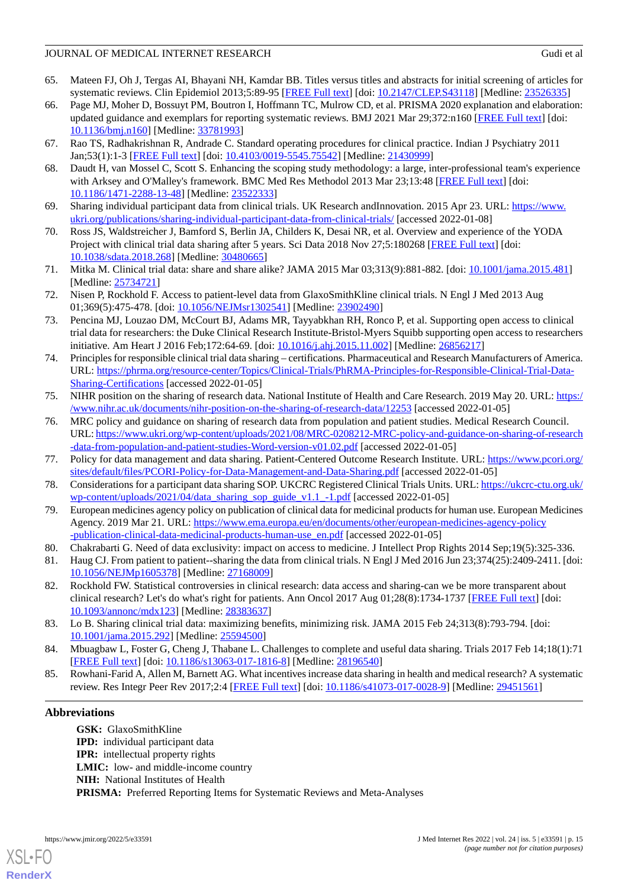- <span id="page-14-0"></span>65. Mateen FJ, Oh J, Tergas AI, Bhayani NH, Kamdar BB. Titles versus titles and abstracts for initial screening of articles for systematic reviews. Clin Epidemiol 2013;5:89-95 [\[FREE Full text\]](https://dx.doi.org/10.2147/CLEP.S43118) [doi: [10.2147/CLEP.S43118\]](http://dx.doi.org/10.2147/CLEP.S43118) [Medline: [23526335\]](http://www.ncbi.nlm.nih.gov/entrez/query.fcgi?cmd=Retrieve&db=PubMed&list_uids=23526335&dopt=Abstract)
- <span id="page-14-1"></span>66. Page MJ, Moher D, Bossuyt PM, Boutron I, Hoffmann TC, Mulrow CD, et al. PRISMA 2020 explanation and elaboration: updated guidance and exemplars for reporting systematic reviews. BMJ 2021 Mar 29;372:n160 [\[FREE Full text\]](http://www.bmj.com/lookup/pmidlookup?view=long&pmid=33781993) [doi: [10.1136/bmj.n160\]](http://dx.doi.org/10.1136/bmj.n160) [Medline: [33781993\]](http://www.ncbi.nlm.nih.gov/entrez/query.fcgi?cmd=Retrieve&db=PubMed&list_uids=33781993&dopt=Abstract)
- <span id="page-14-3"></span><span id="page-14-2"></span>67. Rao TS, Radhakrishnan R, Andrade C. Standard operating procedures for clinical practice. Indian J Psychiatry 2011 Jan;53(1):1-3 [\[FREE Full text\]](http://www.indianjpsychiatry.org/article.asp?issn=0019-5545;year=2011;volume=53;issue=1;spage=1;epage=3;aulast=Sathyanarayana) [doi: [10.4103/0019-5545.75542\]](http://dx.doi.org/10.4103/0019-5545.75542) [Medline: [21430999\]](http://www.ncbi.nlm.nih.gov/entrez/query.fcgi?cmd=Retrieve&db=PubMed&list_uids=21430999&dopt=Abstract)
- <span id="page-14-4"></span>68. Daudt H, van Mossel C, Scott S. Enhancing the scoping study methodology: a large, inter-professional team's experience with Arksey and O'Malley's framework. BMC Med Res Methodol 2013 Mar 23;13:48 [\[FREE Full text\]](https://bmcmedresmethodol.biomedcentral.com/articles/10.1186/1471-2288-13-48) [doi: [10.1186/1471-2288-13-48\]](http://dx.doi.org/10.1186/1471-2288-13-48) [Medline: [23522333\]](http://www.ncbi.nlm.nih.gov/entrez/query.fcgi?cmd=Retrieve&db=PubMed&list_uids=23522333&dopt=Abstract)
- <span id="page-14-5"></span>69. Sharing individual participant data from clinical trials. UK Research andInnovation. 2015 Apr 23. URL: [https://www.](https://www.ukri.org/publications/sharing-individual-participant-data-from-clinical-trials/) [ukri.org/publications/sharing-individual-participant-data-from-clinical-trials/](https://www.ukri.org/publications/sharing-individual-participant-data-from-clinical-trials/) [accessed 2022-01-08]
- <span id="page-14-10"></span>70. Ross JS, Waldstreicher J, Bamford S, Berlin JA, Childers K, Desai NR, et al. Overview and experience of the YODA Project with clinical trial data sharing after 5 years. Sci Data 2018 Nov 27;5:180268 [[FREE Full text](https://doi.org/10.1038/sdata.2018.268)] [doi: [10.1038/sdata.2018.268](http://dx.doi.org/10.1038/sdata.2018.268)] [Medline: [30480665](http://www.ncbi.nlm.nih.gov/entrez/query.fcgi?cmd=Retrieve&db=PubMed&list_uids=30480665&dopt=Abstract)]
- <span id="page-14-9"></span>71. Mitka M. Clinical trial data: share and share alike? JAMA 2015 Mar 03;313(9):881-882. [doi: [10.1001/jama.2015.481](http://dx.doi.org/10.1001/jama.2015.481)] [Medline: [25734721](http://www.ncbi.nlm.nih.gov/entrez/query.fcgi?cmd=Retrieve&db=PubMed&list_uids=25734721&dopt=Abstract)]
- <span id="page-14-6"></span>72. Nisen P, Rockhold F. Access to patient-level data from GlaxoSmithKline clinical trials. N Engl J Med 2013 Aug 01;369(5):475-478. [doi: [10.1056/NEJMsr1302541](http://dx.doi.org/10.1056/NEJMsr1302541)] [Medline: [23902490\]](http://www.ncbi.nlm.nih.gov/entrez/query.fcgi?cmd=Retrieve&db=PubMed&list_uids=23902490&dopt=Abstract)
- <span id="page-14-7"></span>73. Pencina MJ, Louzao DM, McCourt BJ, Adams MR, Tayyabkhan RH, Ronco P, et al. Supporting open access to clinical trial data for researchers: the Duke Clinical Research Institute-Bristol-Myers Squibb supporting open access to researchers initiative. Am Heart J 2016 Feb;172:64-69. [doi: [10.1016/j.ahj.2015.11.002](http://dx.doi.org/10.1016/j.ahj.2015.11.002)] [Medline: [26856217](http://www.ncbi.nlm.nih.gov/entrez/query.fcgi?cmd=Retrieve&db=PubMed&list_uids=26856217&dopt=Abstract)]
- <span id="page-14-11"></span>74. Principles for responsible clinical trial data sharing – certifications. Pharmaceutical and Research Manufacturers of America. URL: [https://phrma.org/resource-center/Topics/Clinical-Trials/PhRMA-Principles-for-Responsible-Clinical-Trial-Data-](https://phrma.org/resource-center/Topics/Clinical-Trials/PhRMA-Principles-for-Responsible-Clinical-Trial-Data-Sharing-Certifications)[Sharing-Certifications](https://phrma.org/resource-center/Topics/Clinical-Trials/PhRMA-Principles-for-Responsible-Clinical-Trial-Data-Sharing-Certifications) [accessed 2022-01-05]
- <span id="page-14-12"></span>75. NIHR position on the sharing of research data. National Institute of Health and Care Research. 2019 May 20. URL: [https:/](https://www.nihr.ac.uk/documents/nihr-position-on-the-sharing-of-research-data/12253) [/www.nihr.ac.uk/documents/nihr-position-on-the-sharing-of-research-data/12253](https://www.nihr.ac.uk/documents/nihr-position-on-the-sharing-of-research-data/12253) [accessed 2022-01-05]
- <span id="page-14-14"></span><span id="page-14-13"></span>76. MRC policy and guidance on sharing of research data from population and patient studies. Medical Research Council. URL: [https://www.ukri.org/wp-content/uploads/2021/08/MRC-0208212-MRC-policy-and-guidance-on-sharing-of-research](https://www.ukri.org/wp-content/uploads/2021/08/MRC-0208212-MRC-policy-and-guidance-on-sharing-of-research-data-from-population-and-patient-studies-Word-version-v01.02.pdf) [-data-from-population-and-patient-studies-Word-version-v01.02.pdf](https://www.ukri.org/wp-content/uploads/2021/08/MRC-0208212-MRC-policy-and-guidance-on-sharing-of-research-data-from-population-and-patient-studies-Word-version-v01.02.pdf) [accessed 2022-01-05]
- <span id="page-14-8"></span>77. Policy for data management and data sharing. Patient-Centered Outcome Research Institute. URL: [https://www.pcori.org/](https://www.pcori.org/sites/default/files/PCORI-Policy-for-Data-Management-and-Data-Sharing.pdf) [sites/default/files/PCORI-Policy-for-Data-Management-and-Data-Sharing.pdf](https://www.pcori.org/sites/default/files/PCORI-Policy-for-Data-Management-and-Data-Sharing.pdf) [accessed 2022-01-05]
- <span id="page-14-15"></span>78. Considerations for a participant data sharing SOP. UKCRC Registered Clinical Trials Units. URL: [https://ukcrc-ctu.org.uk/](https://ukcrc-ctu.org.uk/wp-content/uploads/2021/04/data_sharing_sop_guide_v1.1_-1.pdf) [wp-content/uploads/2021/04/data\\_sharing\\_sop\\_guide\\_v1.1\\_-1.pdf](https://ukcrc-ctu.org.uk/wp-content/uploads/2021/04/data_sharing_sop_guide_v1.1_-1.pdf) [accessed 2022-01-05]
- <span id="page-14-16"></span>79. European medicines agency policy on publication of clinical data for medicinal products for human use. European Medicines Agency. 2019 Mar 21. URL: [https://www.ema.europa.eu/en/documents/other/european-medicines-agency-policy](https://www.ema.europa.eu/en/documents/other/european-medicines-agency-policy-publication-clinical-data-medicinal-products-human-use_en.pdf) [-publication-clinical-data-medicinal-products-human-use\\_en.pdf](https://www.ema.europa.eu/en/documents/other/european-medicines-agency-policy-publication-clinical-data-medicinal-products-human-use_en.pdf) [accessed 2022-01-05]
- 80. Chakrabarti G. Need of data exclusivity: impact on access to medicine. J Intellect Prop Rights 2014 Sep;19(5):325-336.
- <span id="page-14-17"></span>81. Haug CJ. From patient to patient--sharing the data from clinical trials. N Engl J Med 2016 Jun 23;374(25):2409-2411. [doi: [10.1056/NEJMp1605378\]](http://dx.doi.org/10.1056/NEJMp1605378) [Medline: [27168009\]](http://www.ncbi.nlm.nih.gov/entrez/query.fcgi?cmd=Retrieve&db=PubMed&list_uids=27168009&dopt=Abstract)
- <span id="page-14-18"></span>82. Rockhold FW. Statistical controversies in clinical research: data access and sharing-can we be more transparent about clinical research? Let's do what's right for patients. Ann Oncol 2017 Aug 01;28(8):1734-1737 [\[FREE Full text\]](https://linkinghub.elsevier.com/retrieve/pii/S0923-7534(19)32127-1) [doi: [10.1093/annonc/mdx123](http://dx.doi.org/10.1093/annonc/mdx123)] [Medline: [28383637](http://www.ncbi.nlm.nih.gov/entrez/query.fcgi?cmd=Retrieve&db=PubMed&list_uids=28383637&dopt=Abstract)]
- <span id="page-14-19"></span>83. Lo B. Sharing clinical trial data: maximizing benefits, minimizing risk. JAMA 2015 Feb 24;313(8):793-794. [doi: [10.1001/jama.2015.292](http://dx.doi.org/10.1001/jama.2015.292)] [Medline: [25594500](http://www.ncbi.nlm.nih.gov/entrez/query.fcgi?cmd=Retrieve&db=PubMed&list_uids=25594500&dopt=Abstract)]
- 84. Mbuagbaw L, Foster G, Cheng J, Thabane L. Challenges to complete and useful data sharing. Trials 2017 Feb 14;18(1):71 [[FREE Full text](https://trialsjournal.biomedcentral.com/articles/10.1186/s13063-017-1816-8)] [doi: [10.1186/s13063-017-1816-8\]](http://dx.doi.org/10.1186/s13063-017-1816-8) [Medline: [28196540](http://www.ncbi.nlm.nih.gov/entrez/query.fcgi?cmd=Retrieve&db=PubMed&list_uids=28196540&dopt=Abstract)]
- 85. Rowhani-Farid A, Allen M, Barnett AG. What incentives increase data sharing in health and medical research? A systematic review. Res Integr Peer Rev 2017;2:4 [\[FREE Full text\]](https://researchintegrityjournal.biomedcentral.com/articles/10.1186/s41073-017-0028-9) [doi: [10.1186/s41073-017-0028-9](http://dx.doi.org/10.1186/s41073-017-0028-9)] [Medline: [29451561\]](http://www.ncbi.nlm.nih.gov/entrez/query.fcgi?cmd=Retrieve&db=PubMed&list_uids=29451561&dopt=Abstract)

# **Abbreviations**

**GSK:** GlaxoSmithKline **IPD:** individual participant data **IPR:** intellectual property rights LMIC: low- and middle-income country **NIH:** National Institutes of Health **PRISMA:** Preferred Reporting Items for Systematic Reviews and Meta-Analyses